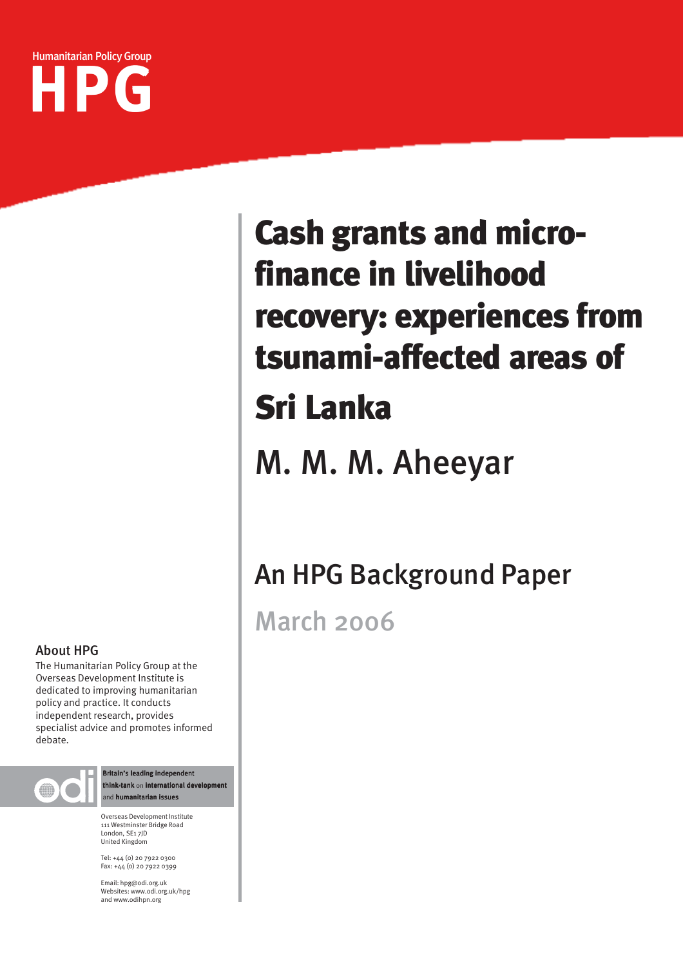

# recovery: experiences from Cash grants and microfinance in livelihood tsunami-affected areas of Sri Lanka

M. M. M. Aheeyar

## An HPG Background Paper

March 2006

#### About HPG

The Humanitarian Policy Group at the Overseas Development Institute is dedicated to improving humanitarian policy and practice. It conducts independent research, provides specialist advice and promotes informed debate.



Britain's leading independent think-tank on international development and humanitarian issues

Overseas Development Institute 111 Westminster Bridge Road London, SE1 7JD United Kingdom

Tel: +44 (0) 20 7922 0300 Fax: +44 (0) 20 7922 0399

Email: hpg@odi.org.uk Websites: www.odi.org.uk/hpg and www.odihpn.org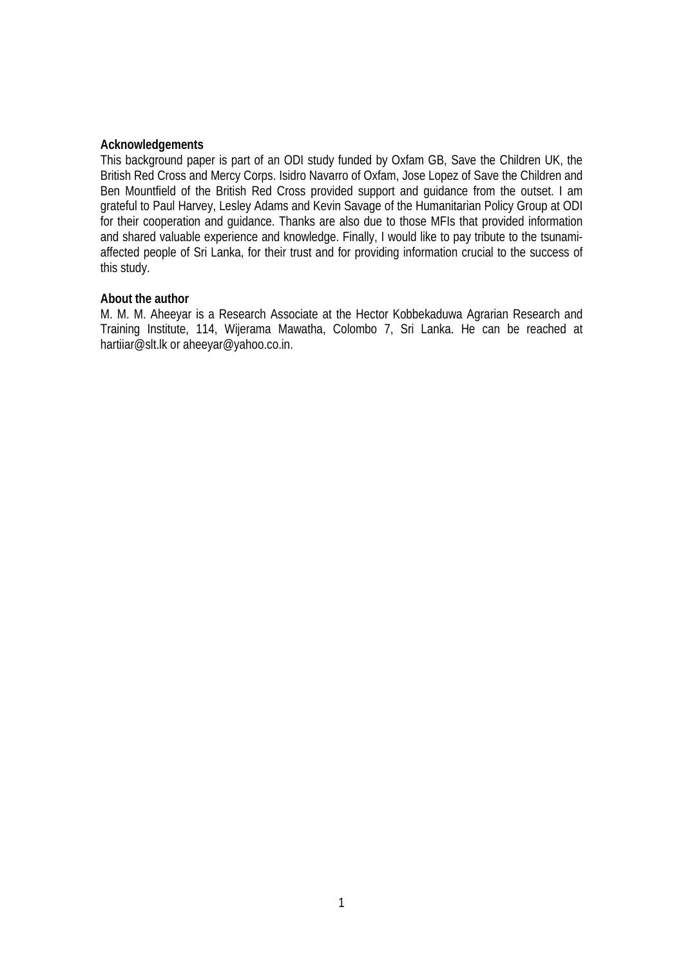#### **Acknowledgements**

This background paper is part of an ODI study funded by Oxfam GB, Save the Children UK, the British Red Cross and Mercy Corps. Isidro Navarro of Oxfam, Jose Lopez of Save the Children and Ben Mountfield of the British Red Cross provided support and guidance from the outset. I am grateful to Paul Harvey, Lesley Adams and Kevin Savage of the Humanitarian Policy Group at ODI for their cooperation and guidance. Thanks are also due to those MFIs that provided information and shared valuable experience and knowledge. Finally, I would like to pay tribute to the tsunamiaffected people of Sri Lanka, for their trust and for providing information crucial to the success of this study.

#### **About the author**

M. M. M. Aheeyar is a Research Associate at the Hector Kobbekaduwa Agrarian Research and Training Institute, 114, Wijerama Mawatha, Colombo 7, Sri Lanka. He can be reached at hartiiar@slt.lk or aheeyar@yahoo.co.in.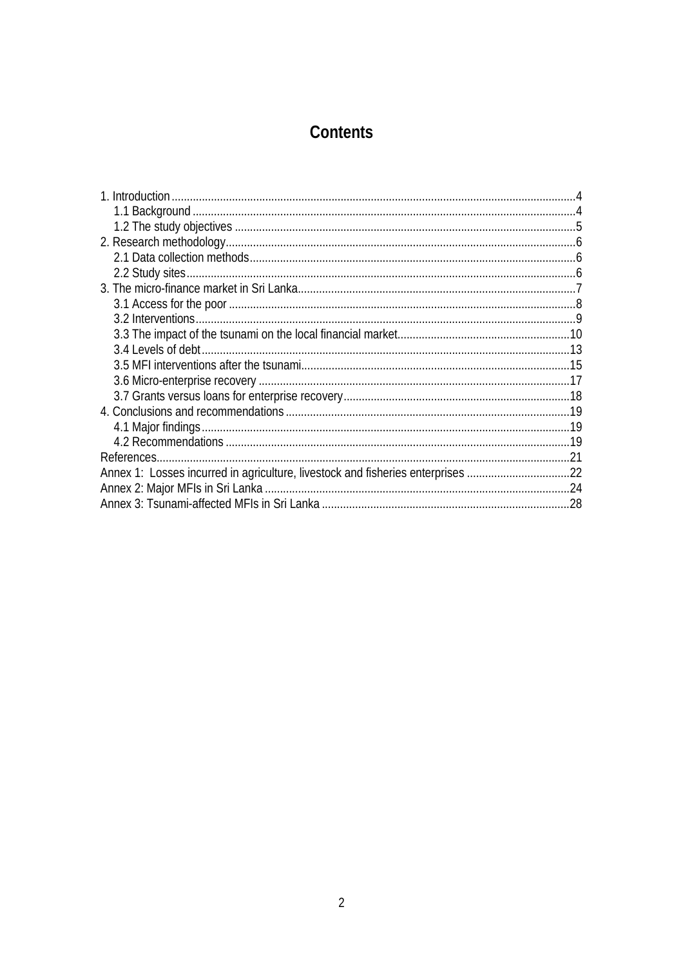## Contents

| Annex 1: Losses incurred in agriculture, livestock and fisheries enterprises 22 |  |
|---------------------------------------------------------------------------------|--|
|                                                                                 |  |
|                                                                                 |  |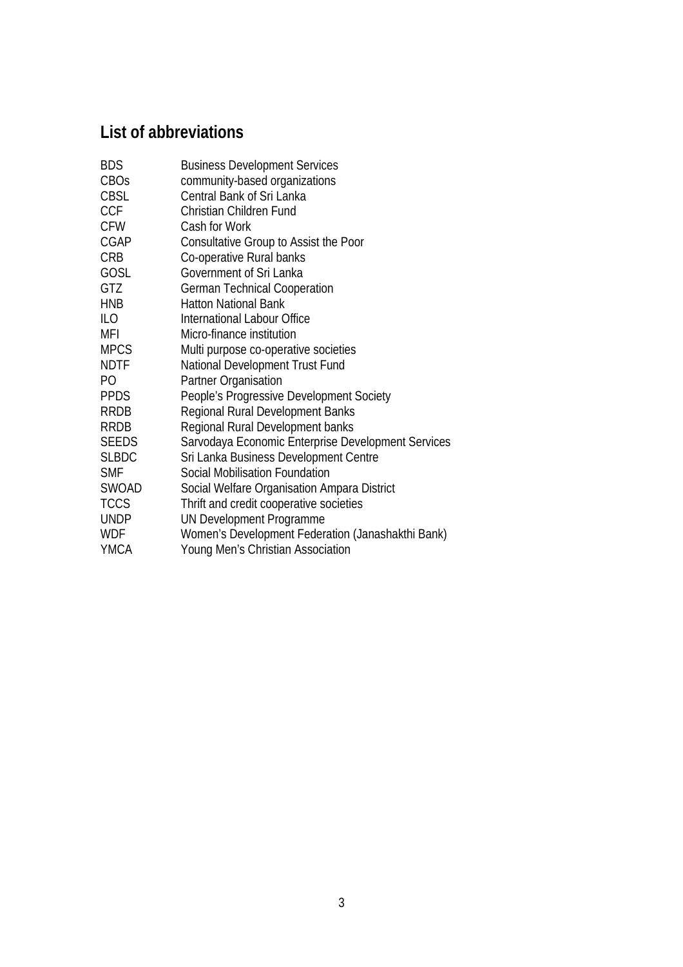## **List of abbreviations**

| BDS         | <b>Business Development Services</b>               |
|-------------|----------------------------------------------------|
| CBOs        | community-based organizations                      |
| CBSL        | Central Bank of Sri Lanka                          |
| <b>CCF</b>  | Christian Children Fund                            |
| <b>CFW</b>  | Cash for Work                                      |
| CGAP        | Consultative Group to Assist the Poor              |
| CRB         | Co-operative Rural banks                           |
| GOSL        | Government of Sri Lanka                            |
| GTZ         | <b>German Technical Cooperation</b>                |
| HNB         | <b>Hatton National Bank</b>                        |
| ILO         | International Labour Office                        |
| MFI         | Micro-finance institution                          |
| MPCS        | Multi purpose co-operative societies               |
| NDTF        | National Development Trust Fund                    |
| PО          | Partner Organisation                               |
| PPDS        | People's Progressive Development Society           |
| RRDB        | Regional Rural Development Banks                   |
| RRDB        | Regional Rural Development banks                   |
| SEEDS       | Sarvodaya Economic Enterprise Development Services |
| SLBDC       | Sri Lanka Business Development Centre              |
| SMF         | Social Mobilisation Foundation                     |
| SWOAD       | Social Welfare Organisation Ampara District        |
| <b>TCCS</b> | Thrift and credit cooperative societies            |
| UNDP        | UN Development Programme                           |
| WDF         | Women's Development Federation (Janashakthi Bank)  |
| YMCA        | Young Men's Christian Association                  |
|             |                                                    |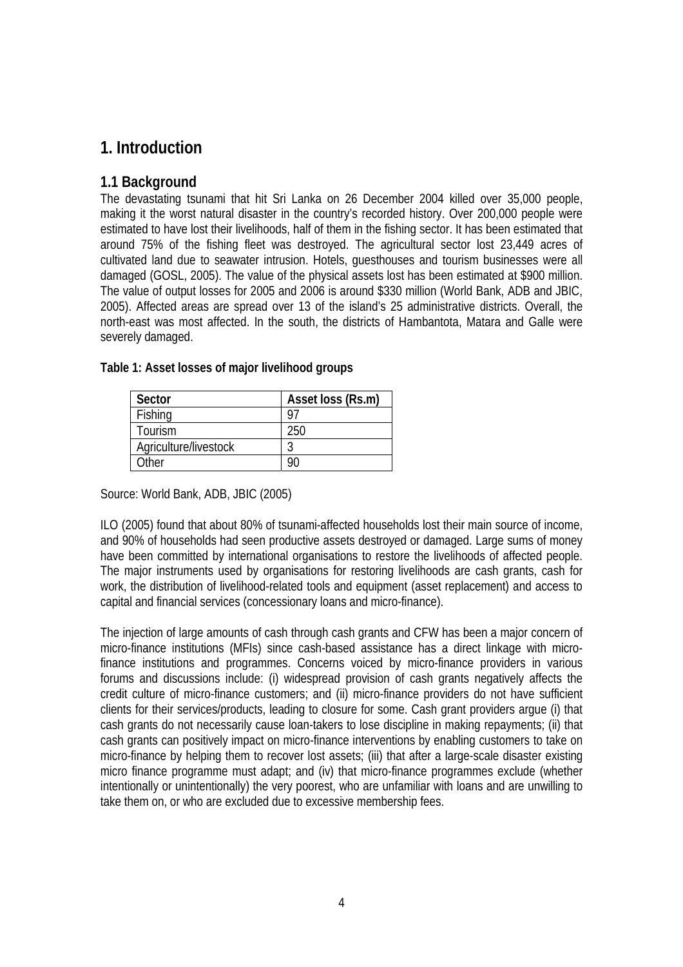## **1. Introduction**

#### **1.1 Background**

The devastating tsunami that hit Sri Lanka on 26 December 2004 killed over 35,000 people, making it the worst natural disaster in the country's recorded history. Over 200,000 people were estimated to have lost their livelihoods, half of them in the fishing sector. It has been estimated that around 75% of the fishing fleet was destroyed. The agricultural sector lost 23,449 acres of cultivated land due to seawater intrusion. Hotels, guesthouses and tourism businesses were all damaged (GOSL, 2005). The value of the physical assets lost has been estimated at \$900 million. The value of output losses for 2005 and 2006 is around \$330 million (World Bank, ADB and JBIC, 2005). Affected areas are spread over 13 of the island's 25 administrative districts. Overall, the north-east was most affected. In the south, the districts of Hambantota, Matara and Galle were severely damaged.

| Sector                | Asset loss (Rs.m) |
|-----------------------|-------------------|
| Fishing               |                   |
| Tourism               | ንኑር               |
| Agriculture/livestock |                   |
| Other                 |                   |

#### **Table 1: Asset losses of major livelihood groups**

Source: World Bank, ADB, JBIC (2005)

ILO (2005) found that about 80% of tsunami-affected households lost their main source of income, and 90% of households had seen productive assets destroyed or damaged. Large sums of money have been committed by international organisations to restore the livelihoods of affected people. The major instruments used by organisations for restoring livelihoods are cash grants, cash for work, the distribution of livelihood-related tools and equipment (asset replacement) and access to capital and financial services (concessionary loans and micro-finance).

The injection of large amounts of cash through cash grants and CFW has been a major concern of micro-finance institutions (MFIs) since cash-based assistance has a direct linkage with microfinance institutions and programmes. Concerns voiced by micro-finance providers in various forums and discussions include: (i) widespread provision of cash grants negatively affects the credit culture of micro-finance customers; and (ii) micro-finance providers do not have sufficient clients for their services/products, leading to closure for some. Cash grant providers argue (i) that cash grants do not necessarily cause loan-takers to lose discipline in making repayments; (ii) that cash grants can positively impact on micro-finance interventions by enabling customers to take on micro-finance by helping them to recover lost assets; (iii) that after a large-scale disaster existing micro finance programme must adapt; and (iv) that micro-finance programmes exclude (whether intentionally or unintentionally) the very poorest, who are unfamiliar with loans and are unwilling to take them on, or who are excluded due to excessive membership fees.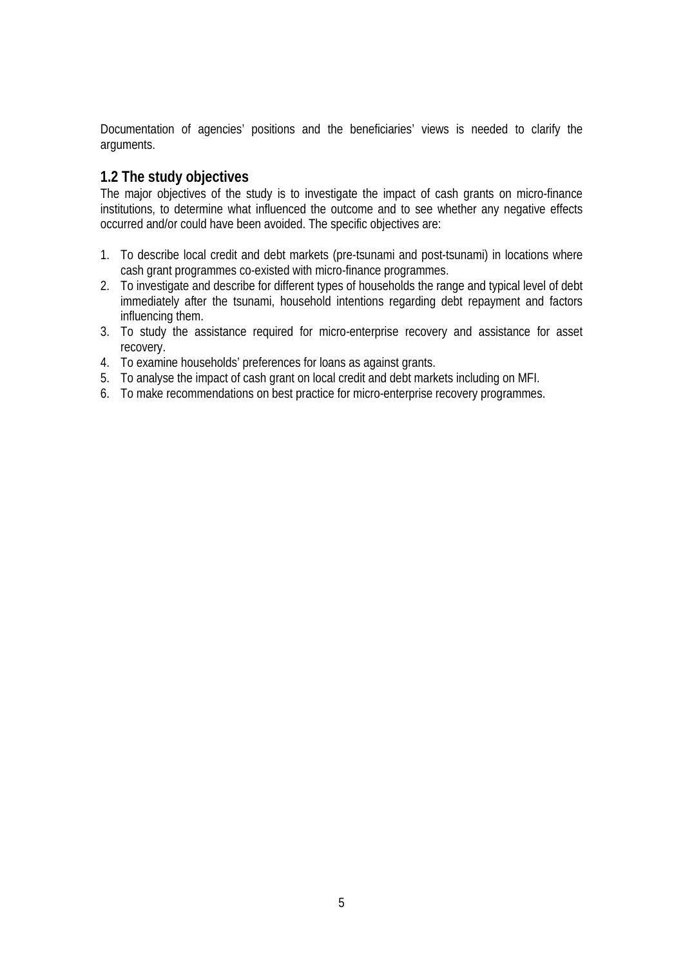Documentation of agencies' positions and the beneficiaries' views is needed to clarify the arguments.

#### **1.2 The study objectives**

The major objectives of the study is to investigate the impact of cash grants on micro-finance institutions, to determine what influenced the outcome and to see whether any negative effects occurred and/or could have been avoided. The specific objectives are:

- 1. To describe local credit and debt markets (pre-tsunami and post-tsunami) in locations where cash grant programmes co-existed with micro-finance programmes.
- 2. To investigate and describe for different types of households the range and typical level of debt immediately after the tsunami, household intentions regarding debt repayment and factors influencing them.
- 3. To study the assistance required for micro-enterprise recovery and assistance for asset recovery.
- 4. To examine households' preferences for loans as against grants.
- 5. To analyse the impact of cash grant on local credit and debt markets including on MFI.
- 6. To make recommendations on best practice for micro-enterprise recovery programmes.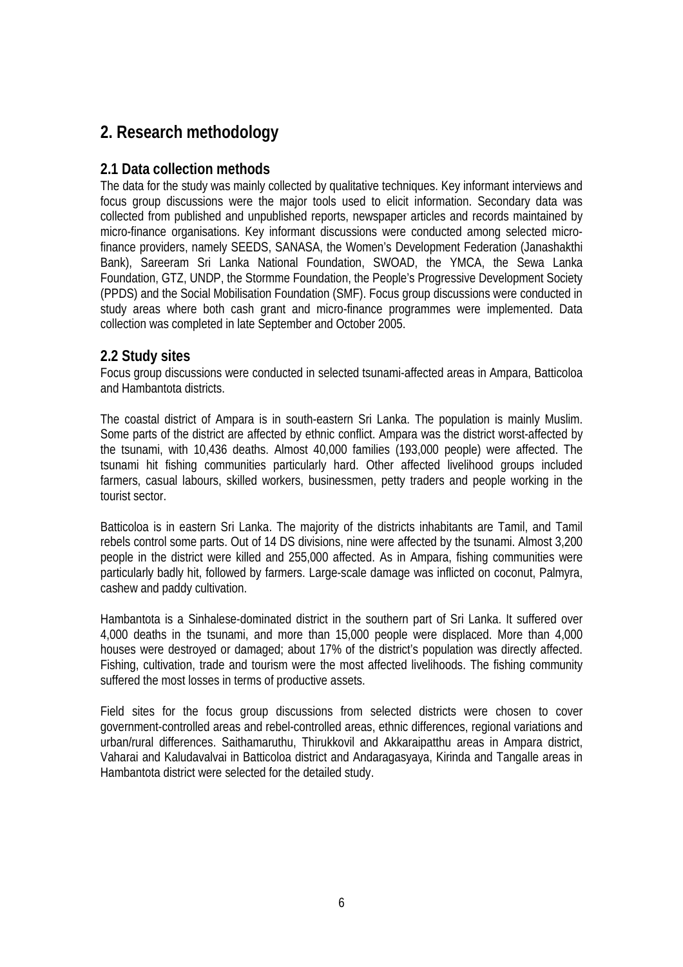## **2. Research methodology**

#### **2.1 Data collection methods**

The data for the study was mainly collected by qualitative techniques. Key informant interviews and focus group discussions were the major tools used to elicit information. Secondary data was collected from published and unpublished reports, newspaper articles and records maintained by micro-finance organisations. Key informant discussions were conducted among selected microfinance providers, namely SEEDS, SANASA, the Women's Development Federation (Janashakthi Bank), Sareeram Sri Lanka National Foundation, SWOAD, the YMCA, the Sewa Lanka Foundation, GTZ, UNDP, the Stormme Foundation, the People's Progressive Development Society (PPDS) and the Social Mobilisation Foundation (SMF). Focus group discussions were conducted in study areas where both cash grant and micro-finance programmes were implemented. Data collection was completed in late September and October 2005.

#### **2.2 Study sites**

Focus group discussions were conducted in selected tsunami-affected areas in Ampara, Batticoloa and Hambantota districts.

The coastal district of Ampara is in south-eastern Sri Lanka. The population is mainly Muslim. Some parts of the district are affected by ethnic conflict. Ampara was the district worst-affected by the tsunami, with 10,436 deaths. Almost 40,000 families (193,000 people) were affected. The tsunami hit fishing communities particularly hard. Other affected livelihood groups included farmers, casual labours, skilled workers, businessmen, petty traders and people working in the tourist sector.

Batticoloa is in eastern Sri Lanka. The majority of the districts inhabitants are Tamil, and Tamil rebels control some parts. Out of 14 DS divisions, nine were affected by the tsunami. Almost 3,200 people in the district were killed and 255,000 affected. As in Ampara, fishing communities were particularly badly hit, followed by farmers. Large-scale damage was inflicted on coconut, Palmyra, cashew and paddy cultivation.

Hambantota is a Sinhalese-dominated district in the southern part of Sri Lanka. It suffered over 4,000 deaths in the tsunami, and more than 15,000 people were displaced. More than 4,000 houses were destroyed or damaged; about 17% of the district's population was directly affected. Fishing, cultivation, trade and tourism were the most affected livelihoods. The fishing community suffered the most losses in terms of productive assets.

Field sites for the focus group discussions from selected districts were chosen to cover government-controlled areas and rebel-controlled areas, ethnic differences, regional variations and urban/rural differences. Saithamaruthu, Thirukkovil and Akkaraipatthu areas in Ampara district, Vaharai and Kaludavalvai in Batticoloa district and Andaragasyaya, Kirinda and Tangalle areas in Hambantota district were selected for the detailed study.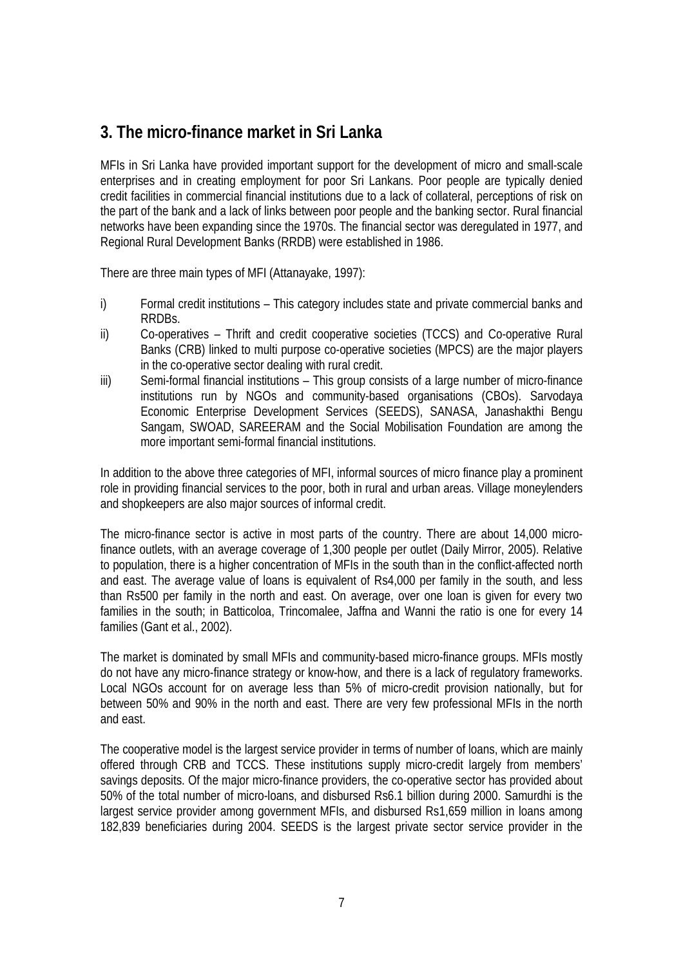## **3. The micro-finance market in Sri Lanka**

MFIs in Sri Lanka have provided important support for the development of micro and small-scale enterprises and in creating employment for poor Sri Lankans. Poor people are typically denied credit facilities in commercial financial institutions due to a lack of collateral, perceptions of risk on the part of the bank and a lack of links between poor people and the banking sector. Rural financial networks have been expanding since the 1970s. The financial sector was deregulated in 1977, and Regional Rural Development Banks (RRDB) were established in 1986.

There are three main types of MFI (Attanayake, 1997):

- i) Formal credit institutions This category includes state and private commercial banks and RRDBs.
- ii) Co-operatives Thrift and credit cooperative societies (TCCS) and Co-operative Rural Banks (CRB) linked to multi purpose co-operative societies (MPCS) are the major players in the co-operative sector dealing with rural credit.
- iii) Semi-formal financial institutions This group consists of a large number of micro-finance institutions run by NGOs and community-based organisations (CBOs). Sarvodaya Economic Enterprise Development Services (SEEDS), SANASA, Janashakthi Bengu Sangam, SWOAD, SAREERAM and the Social Mobilisation Foundation are among the more important semi-formal financial institutions.

In addition to the above three categories of MFI, informal sources of micro finance play a prominent role in providing financial services to the poor, both in rural and urban areas. Village moneylenders and shopkeepers are also major sources of informal credit.

The micro-finance sector is active in most parts of the country. There are about 14,000 microfinance outlets, with an average coverage of 1,300 people per outlet (Daily Mirror, 2005). Relative to population, there is a higher concentration of MFIs in the south than in the conflict-affected north and east. The average value of loans is equivalent of Rs4,000 per family in the south, and less than Rs500 per family in the north and east. On average, over one loan is given for every two families in the south; in Batticoloa, Trincomalee, Jaffna and Wanni the ratio is one for every 14 families (Gant et al., 2002).

The market is dominated by small MFIs and community-based micro-finance groups. MFIs mostly do not have any micro-finance strategy or know-how, and there is a lack of regulatory frameworks. Local NGOs account for on average less than 5% of micro-credit provision nationally, but for between 50% and 90% in the north and east. There are very few professional MFIs in the north and east.

The cooperative model is the largest service provider in terms of number of loans, which are mainly offered through CRB and TCCS. These institutions supply micro-credit largely from members' savings deposits. Of the major micro-finance providers, the co-operative sector has provided about 50% of the total number of micro-loans, and disbursed Rs6.1 billion during 2000. Samurdhi is the largest service provider among government MFIs, and disbursed Rs1,659 million in loans among 182,839 beneficiaries during 2004. SEEDS is the largest private sector service provider in the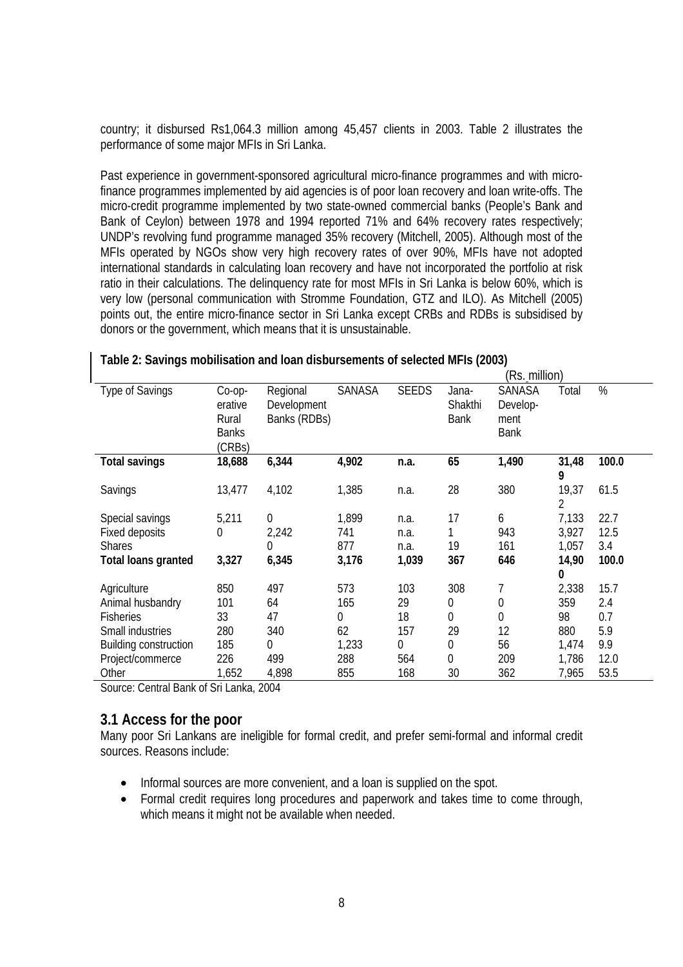country; it disbursed Rs1,064.3 million among 45,457 clients in 2003. Table 2 illustrates the performance of some major MFIs in Sri Lanka.

Past experience in government-sponsored agricultural micro-finance programmes and with microfinance programmes implemented by aid agencies is of poor loan recovery and loan write-offs. The micro-credit programme implemented by two state-owned commercial banks (People's Bank and Bank of Ceylon) between 1978 and 1994 reported 71% and 64% recovery rates respectively; UNDP's revolving fund programme managed 35% recovery (Mitchell, 2005). Although most of the MFIs operated by NGOs show very high recovery rates of over 90%, MFIs have not adopted international standards in calculating loan recovery and have not incorporated the portfolio at risk ratio in their calculations. The delinquency rate for most MFIs in Sri Lanka is below 60%, which is very low (personal communication with Stromme Foundation, GTZ and ILO). As Mitchell (2005) points out, the entire micro-finance sector in Sri Lanka except CRBs and RDBs is subsidised by donors or the government, which means that it is unsustainable.

|                              |                                                         |                                         |        |              |                                 | (Rs. million)                             |            |       |
|------------------------------|---------------------------------------------------------|-----------------------------------------|--------|--------------|---------------------------------|-------------------------------------------|------------|-------|
| <b>Type of Savings</b>       | $Co$ -op-<br>erative<br>Rural<br><b>Banks</b><br>(CRBs) | Regional<br>Development<br>Banks (RDBs) | SANASA | <b>SEEDS</b> | Jana-<br>Shakthi<br><b>Bank</b> | SANASA<br>Develop-<br>ment<br><b>Bank</b> | Total      | $\%$  |
| <b>Total savings</b>         | 18,688                                                  | 6,344                                   | 4,902  | n.a.         | 65                              | 1,490                                     | 31,48<br>9 | 100.0 |
| Savings                      | 13,477                                                  | 4,102                                   | 1,385  | n.a.         | 28                              | 380                                       | 19,37<br>2 | 61.5  |
| Special savings              | 5,211                                                   | 0                                       | 1,899  | n.a.         | 17                              | 6                                         | 7,133      | 22.7  |
| Fixed deposits               | 0                                                       | 2,242                                   | 741    | n.a.         |                                 | 943                                       | 3,927      | 12.5  |
| <b>Shares</b>                |                                                         | 0                                       | 877    | n.a.         | 19                              | 161                                       | 1,057      | 3.4   |
| <b>Total loans granted</b>   | 3,327                                                   | 6,345                                   | 3,176  | 1,039        | 367                             | 646                                       | 14,90      | 100.0 |
|                              |                                                         |                                         |        |              |                                 |                                           | 0          |       |
| Agriculture                  | 850                                                     | 497                                     | 573    | 103          | 308                             | 7                                         | 2,338      | 15.7  |
| Animal husbandry             | 101                                                     | 64                                      | 165    | 29           | 0                               | 0                                         | 359        | 2.4   |
| Fisheries                    | 33                                                      | 47                                      | 0      | 18           | 0                               | 0                                         | 98         | 0.7   |
| Small industries             | 280                                                     | 340                                     | 62     | 157          | 29                              | 12                                        | 880        | 5.9   |
| <b>Building construction</b> | 185                                                     | 0                                       | 1,233  | 0            | 0                               | 56                                        | 1,474      | 9.9   |
| Project/commerce             | 226                                                     | 499                                     | 288    | 564          | 0                               | 209                                       | 1,786      | 12.0  |
| Other                        | 1,652                                                   | 4,898                                   | 855    | 168          | 30                              | 362                                       | 7,965      | 53.5  |

#### **Table 2: Savings mobilisation and loan disbursements of selected MFIs (2003)**

Source: Central Bank of Sri Lanka, 2004

#### **3.1 Access for the poor**

Many poor Sri Lankans are ineligible for formal credit, and prefer semi-formal and informal credit sources. Reasons include:

- Informal sources are more convenient, and a loan is supplied on the spot.
- Formal credit requires long procedures and paperwork and takes time to come through, which means it might not be available when needed.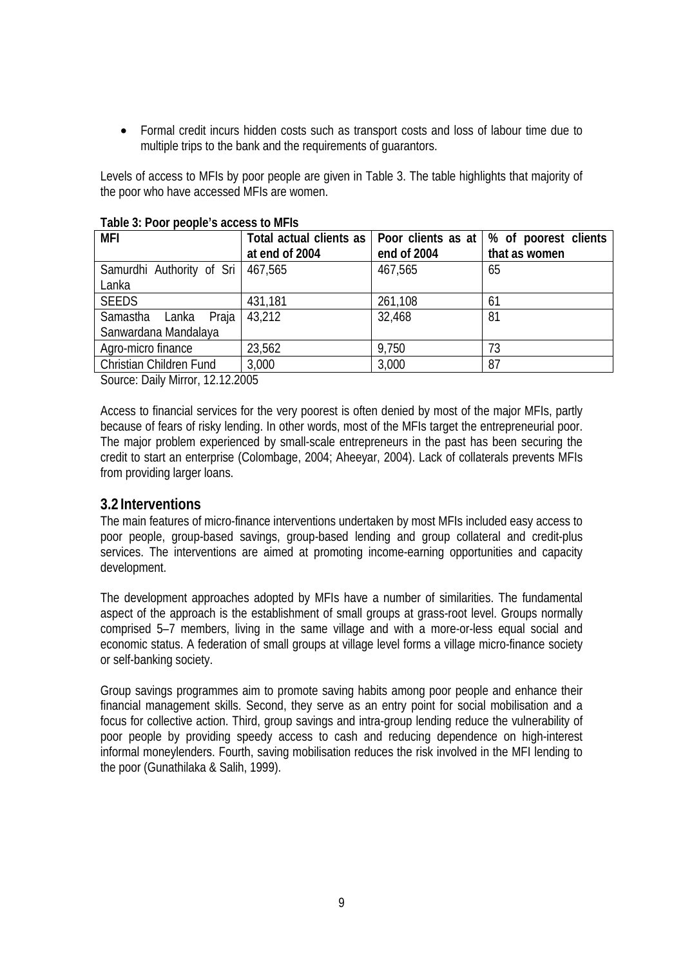• Formal credit incurs hidden costs such as transport costs and loss of labour time due to multiple trips to the bank and the requirements of guarantors.

Levels of access to MFIs by poor people are given in Table 3. The table highlights that majority of the poor who have accessed MFIs are women.

| MFI                                 | Total actual clients as |             | Poor clients as at   % of poorest clients |
|-------------------------------------|-------------------------|-------------|-------------------------------------------|
|                                     | at end of 2004          | end of 2004 | that as women                             |
| Samurdhi Authority of Sri   467,565 |                         | 467,565     | 65                                        |
| Lanka                               |                         |             |                                           |
| <b>SEEDS</b>                        | 431,181                 | 261,108     | 61                                        |
| Samastha Lanka<br>Praja             | 43,212                  | 32,468      | 81                                        |
| Sanwardana Mandalaya                |                         |             |                                           |
| Agro-micro finance                  | 23,562                  | 9,750       | 73                                        |
| Christian Children Fund             | 3,000                   | 3,000       | 87                                        |

#### **Table 3: Poor people's access to MFIs**

Source: Daily Mirror, 12.12.2005

Access to financial services for the very poorest is often denied by most of the major MFIs, partly because of fears of risky lending. In other words, most of the MFIs target the entrepreneurial poor. The major problem experienced by small-scale entrepreneurs in the past has been securing the credit to start an enterprise (Colombage, 2004; Aheeyar, 2004). Lack of collaterals prevents MFIs from providing larger loans.

#### **3.2 Interventions**

The main features of micro-finance interventions undertaken by most MFIs included easy access to poor people, group-based savings, group-based lending and group collateral and credit-plus services. The interventions are aimed at promoting income-earning opportunities and capacity development.

The development approaches adopted by MFIs have a number of similarities. The fundamental aspect of the approach is the establishment of small groups at grass-root level. Groups normally comprised 5–7 members, living in the same village and with a more-or-less equal social and economic status. A federation of small groups at village level forms a village micro-finance society or self-banking society.

Group savings programmes aim to promote saving habits among poor people and enhance their financial management skills. Second, they serve as an entry point for social mobilisation and a focus for collective action. Third, group savings and intra-group lending reduce the vulnerability of poor people by providing speedy access to cash and reducing dependence on high-interest informal moneylenders. Fourth, saving mobilisation reduces the risk involved in the MFI lending to the poor (Gunathilaka & Salih, 1999).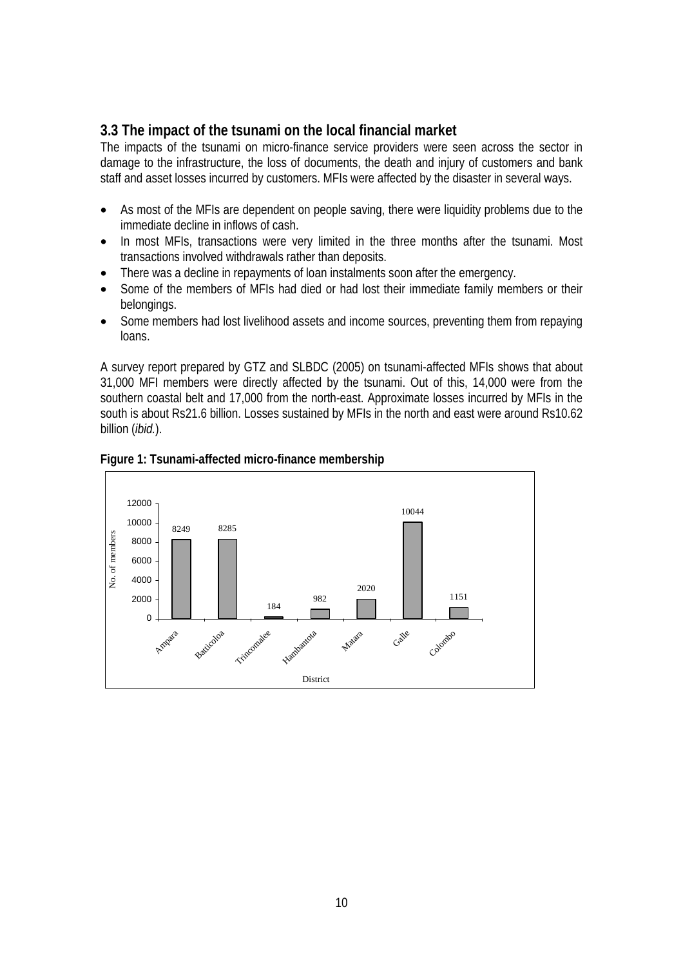#### **3.3 The impact of the tsunami on the local financial market**

The impacts of the tsunami on micro-finance service providers were seen across the sector in damage to the infrastructure, the loss of documents, the death and injury of customers and bank staff and asset losses incurred by customers. MFIs were affected by the disaster in several ways.

- As most of the MFIs are dependent on people saving, there were liquidity problems due to the immediate decline in inflows of cash.
- In most MFIs, transactions were very limited in the three months after the tsunami. Most transactions involved withdrawals rather than deposits.
- There was a decline in repayments of loan instalments soon after the emergency.
- Some of the members of MFIs had died or had lost their immediate family members or their belongings.
- Some members had lost livelihood assets and income sources, preventing them from repaying loans.

A survey report prepared by GTZ and SLBDC (2005) on tsunami-affected MFIs shows that about 31,000 MFI members were directly affected by the tsunami. Out of this, 14,000 were from the southern coastal belt and 17,000 from the north-east. Approximate losses incurred by MFIs in the south is about Rs21.6 billion. Losses sustained by MFIs in the north and east were around Rs10.62 billion (*ibid.*).



#### **Figure 1: Tsunami-affected micro-finance membership**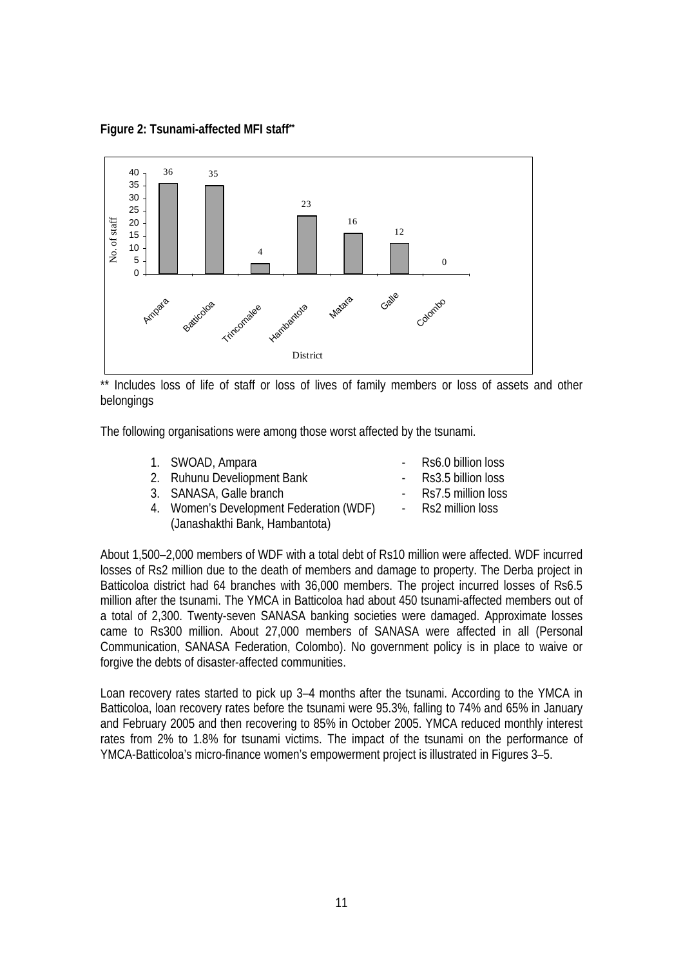**Figure 2: Tsunami-affected MFI staff\*\*** 



\*\* Includes loss of life of staff or loss of lives of family members or loss of assets and other belongings

The following organisations were among those worst affected by the tsunami.

- 1. SWOAD, Ampara **1. SWOAD, Ampara** 1. RS6.0 billion loss
- 2. Ruhunu Develiopment Bank Rs3.5 billion loss
- 3. SANASA, Galle branch Rs7.5 million loss
- 4. Women's Development Federation (WDF) Rs2 million loss (Janashakthi Bank, Hambantota)
- 
- 

About 1,500–2,000 members of WDF with a total debt of Rs10 million were affected. WDF incurred losses of Rs2 million due to the death of members and damage to property. The Derba project in Batticoloa district had 64 branches with 36,000 members. The project incurred losses of Rs6.5 million after the tsunami. The YMCA in Batticoloa had about 450 tsunami-affected members out of a total of 2,300. Twenty-seven SANASA banking societies were damaged. Approximate losses came to Rs300 million. About 27,000 members of SANASA were affected in all (Personal Communication, SANASA Federation, Colombo). No government policy is in place to waive or forgive the debts of disaster-affected communities.

Loan recovery rates started to pick up 3–4 months after the tsunami. According to the YMCA in Batticoloa, loan recovery rates before the tsunami were 95.3%, falling to 74% and 65% in January and February 2005 and then recovering to 85% in October 2005. YMCA reduced monthly interest rates from 2% to 1.8% for tsunami victims. The impact of the tsunami on the performance of YMCA-Batticoloa's micro-finance women's empowerment project is illustrated in Figures 3–5.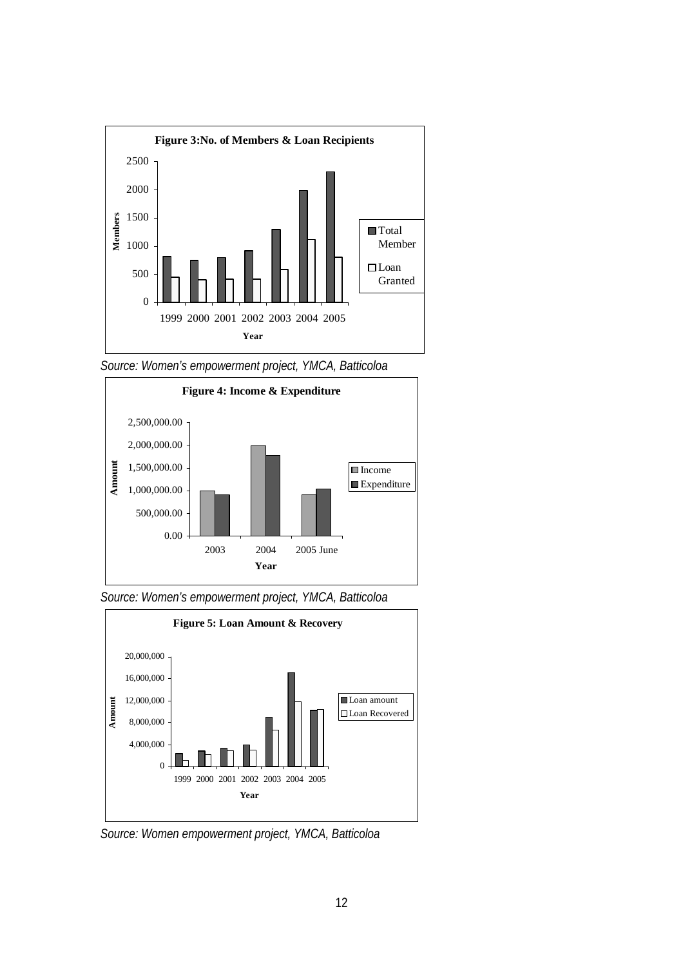

*Source: Women's empowerment project, YMCA, Batticoloa* 



*Source: Women's empowerment project, YMCA, Batticoloa* 



*Source: Women empowerment project, YMCA, Batticoloa*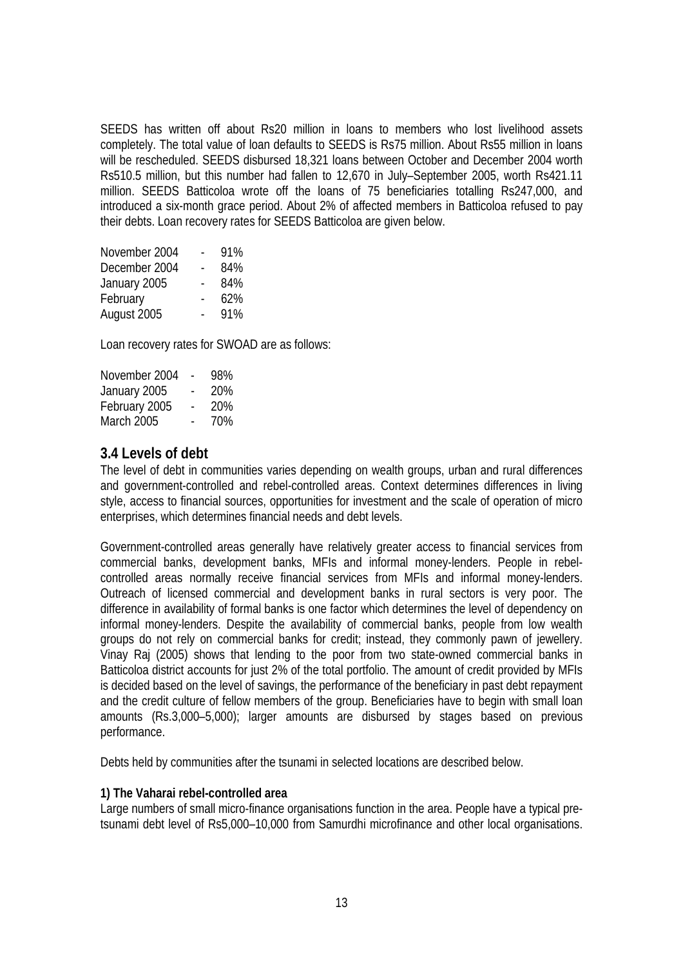SEEDS has written off about Rs20 million in loans to members who lost livelihood assets completely. The total value of loan defaults to SEEDS is Rs75 million. About Rs55 million in loans will be rescheduled. SEEDS disbursed 18,321 loans between October and December 2004 worth Rs510.5 million, but this number had fallen to 12,670 in July–September 2005, worth Rs421.11 million. SEEDS Batticoloa wrote off the loans of 75 beneficiaries totalling Rs247,000, and introduced a six-month grace period. About 2% of affected members in Batticoloa refused to pay their debts. Loan recovery rates for SEEDS Batticoloa are given below.

| November 2004 | 91% |
|---------------|-----|
| December 2004 | 84% |
| January 2005  | 84% |
| February      | 62% |
| August 2005   | 91% |

Loan recovery rates for SWOAD are as follows:

| November 2004     | 98% |
|-------------------|-----|
| January 2005      | 20% |
| February 2005     | 20% |
| <b>March 2005</b> | 70% |

#### **3.4 Levels of debt**

The level of debt in communities varies depending on wealth groups, urban and rural differences and government-controlled and rebel-controlled areas. Context determines differences in living style, access to financial sources, opportunities for investment and the scale of operation of micro enterprises, which determines financial needs and debt levels.

Government-controlled areas generally have relatively greater access to financial services from commercial banks, development banks, MFIs and informal money-lenders. People in rebelcontrolled areas normally receive financial services from MFIs and informal money-lenders. Outreach of licensed commercial and development banks in rural sectors is very poor. The difference in availability of formal banks is one factor which determines the level of dependency on informal money-lenders. Despite the availability of commercial banks, people from low wealth groups do not rely on commercial banks for credit; instead, they commonly pawn of jewellery. Vinay Raj (2005) shows that lending to the poor from two state-owned commercial banks in Batticoloa district accounts for just 2% of the total portfolio. The amount of credit provided by MFIs is decided based on the level of savings, the performance of the beneficiary in past debt repayment and the credit culture of fellow members of the group. Beneficiaries have to begin with small loan amounts (Rs.3,000–5,000); larger amounts are disbursed by stages based on previous performance.

Debts held by communities after the tsunami in selected locations are described below.

#### **1) The Vaharai rebel-controlled area**

Large numbers of small micro-finance organisations function in the area. People have a typical pretsunami debt level of Rs5,000–10,000 from Samurdhi microfinance and other local organisations.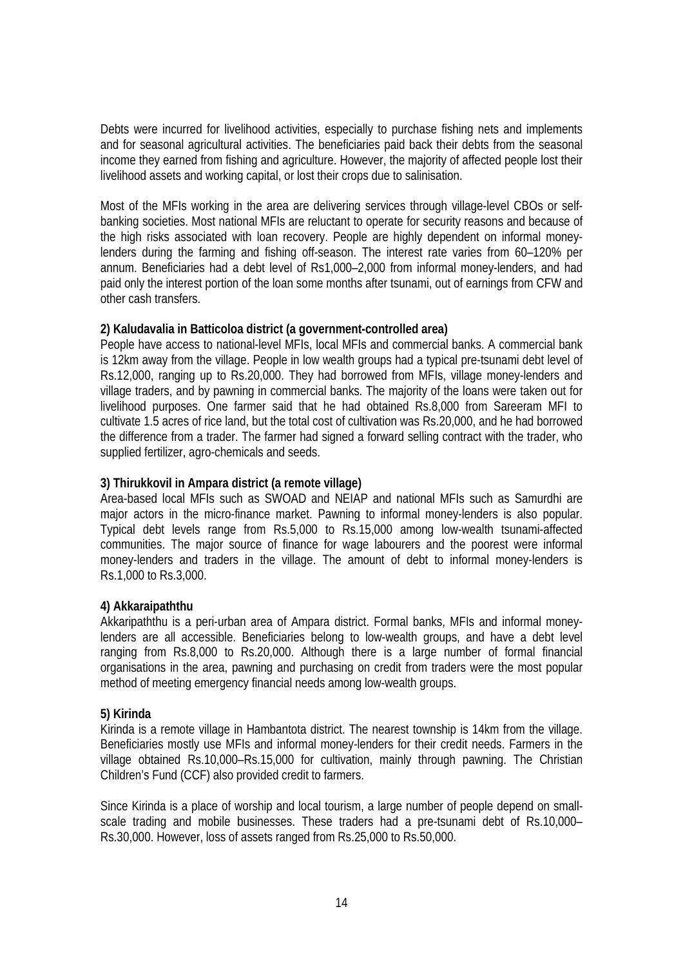Debts were incurred for livelihood activities, especially to purchase fishing nets and implements and for seasonal agricultural activities. The beneficiaries paid back their debts from the seasonal income they earned from fishing and agriculture. However, the majority of affected people lost their livelihood assets and working capital, or lost their crops due to salinisation.

Most of the MFIs working in the area are delivering services through village-level CBOs or selfbanking societies. Most national MFIs are reluctant to operate for security reasons and because of the high risks associated with loan recovery. People are highly dependent on informal moneylenders during the farming and fishing off-season. The interest rate varies from 60–120% per annum. Beneficiaries had a debt level of Rs1,000–2,000 from informal money-lenders, and had paid only the interest portion of the loan some months after tsunami, out of earnings from CFW and other cash transfers.

#### **2) Kaludavalia in Batticoloa district (a government-controlled area)**

People have access to national-level MFIs, local MFIs and commercial banks. A commercial bank is 12km away from the village. People in low wealth groups had a typical pre-tsunami debt level of Rs.12,000, ranging up to Rs.20,000. They had borrowed from MFIs, village money-lenders and village traders, and by pawning in commercial banks. The majority of the loans were taken out for livelihood purposes. One farmer said that he had obtained Rs.8,000 from Sareeram MFI to cultivate 1.5 acres of rice land, but the total cost of cultivation was Rs.20,000, and he had borrowed the difference from a trader. The farmer had signed a forward selling contract with the trader, who supplied fertilizer, agro-chemicals and seeds.

#### **3) Thirukkovil in Ampara district (a remote village)**

Area-based local MFIs such as SWOAD and NEIAP and national MFIs such as Samurdhi are major actors in the micro-finance market. Pawning to informal money-lenders is also popular. Typical debt levels range from Rs.5,000 to Rs.15,000 among low-wealth tsunami-affected communities. The major source of finance for wage labourers and the poorest were informal money-lenders and traders in the village. The amount of debt to informal money-lenders is Rs.1,000 to Rs.3,000.

#### **4) Akkaraipaththu**

Akkaripaththu is a peri-urban area of Ampara district. Formal banks, MFIs and informal moneylenders are all accessible. Beneficiaries belong to low-wealth groups, and have a debt level ranging from Rs.8,000 to Rs.20,000. Although there is a large number of formal financial organisations in the area, pawning and purchasing on credit from traders were the most popular method of meeting emergency financial needs among low-wealth groups.

#### **5) Kirinda**

Kirinda is a remote village in Hambantota district. The nearest township is 14km from the village. Beneficiaries mostly use MFIs and informal money-lenders for their credit needs. Farmers in the village obtained Rs.10,000–Rs.15,000 for cultivation, mainly through pawning. The Christian Children's Fund (CCF) also provided credit to farmers.

Since Kirinda is a place of worship and local tourism, a large number of people depend on smallscale trading and mobile businesses. These traders had a pre-tsunami debt of Rs.10,000– Rs.30,000. However, loss of assets ranged from Rs.25,000 to Rs.50,000.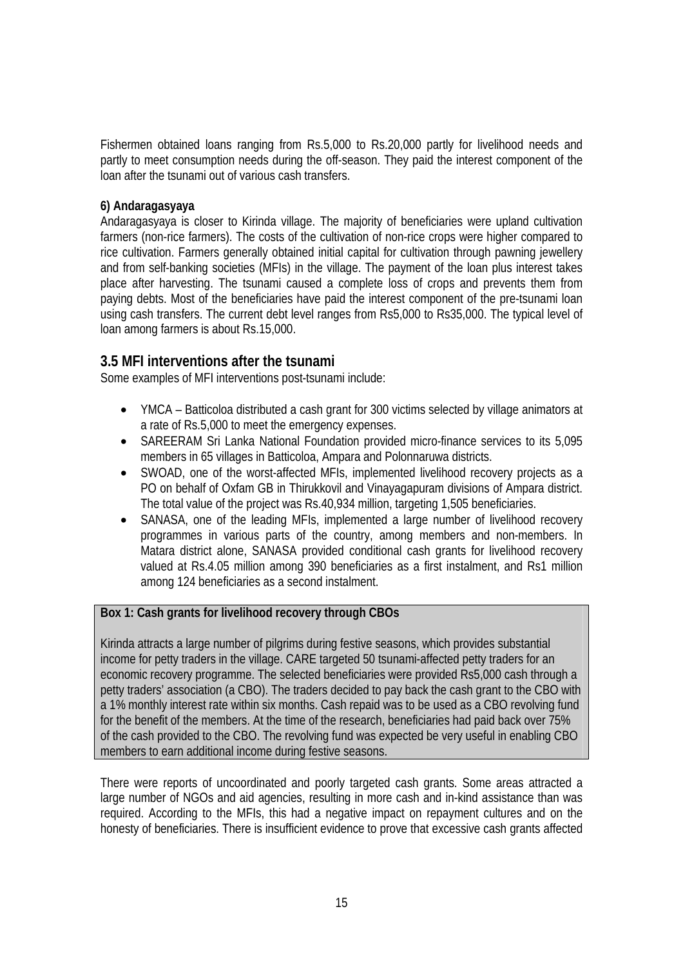Fishermen obtained loans ranging from Rs.5,000 to Rs.20,000 partly for livelihood needs and partly to meet consumption needs during the off-season. They paid the interest component of the loan after the tsunami out of various cash transfers.

#### **6) Andaragasyaya**

Andaragasyaya is closer to Kirinda village. The majority of beneficiaries were upland cultivation farmers (non-rice farmers). The costs of the cultivation of non-rice crops were higher compared to rice cultivation. Farmers generally obtained initial capital for cultivation through pawning jewellery and from self-banking societies (MFIs) in the village. The payment of the loan plus interest takes place after harvesting. The tsunami caused a complete loss of crops and prevents them from paying debts. Most of the beneficiaries have paid the interest component of the pre-tsunami loan using cash transfers. The current debt level ranges from Rs5,000 to Rs35,000. The typical level of loan among farmers is about Rs.15,000.

#### **3.5 MFI interventions after the tsunami**

Some examples of MFI interventions post-tsunami include:

- YMCA Batticoloa distributed a cash grant for 300 victims selected by village animators at a rate of Rs.5,000 to meet the emergency expenses.
- SAREERAM Sri Lanka National Foundation provided micro-finance services to its 5,095 members in 65 villages in Batticoloa, Ampara and Polonnaruwa districts.
- SWOAD, one of the worst-affected MFIs, implemented livelihood recovery projects as a PO on behalf of Oxfam GB in Thirukkovil and Vinayagapuram divisions of Ampara district. The total value of the project was Rs.40,934 million, targeting 1,505 beneficiaries.
- SANASA, one of the leading MFIs, implemented a large number of livelihood recovery programmes in various parts of the country, among members and non-members. In Matara district alone, SANASA provided conditional cash grants for livelihood recovery valued at Rs.4.05 million among 390 beneficiaries as a first instalment, and Rs1 million among 124 beneficiaries as a second instalment.

**Box 1: Cash grants for livelihood recovery through CBOs** 

Kirinda attracts a large number of pilgrims during festive seasons, which provides substantial income for petty traders in the village. CARE targeted 50 tsunami-affected petty traders for an economic recovery programme. The selected beneficiaries were provided Rs5,000 cash through a petty traders' association (a CBO). The traders decided to pay back the cash grant to the CBO with a 1% monthly interest rate within six months. Cash repaid was to be used as a CBO revolving fund for the benefit of the members. At the time of the research, beneficiaries had paid back over 75% of the cash provided to the CBO. The revolving fund was expected be very useful in enabling CBO members to earn additional income during festive seasons.

There were reports of uncoordinated and poorly targeted cash grants. Some areas attracted a large number of NGOs and aid agencies, resulting in more cash and in-kind assistance than was required. According to the MFIs, this had a negative impact on repayment cultures and on the honesty of beneficiaries. There is insufficient evidence to prove that excessive cash grants affected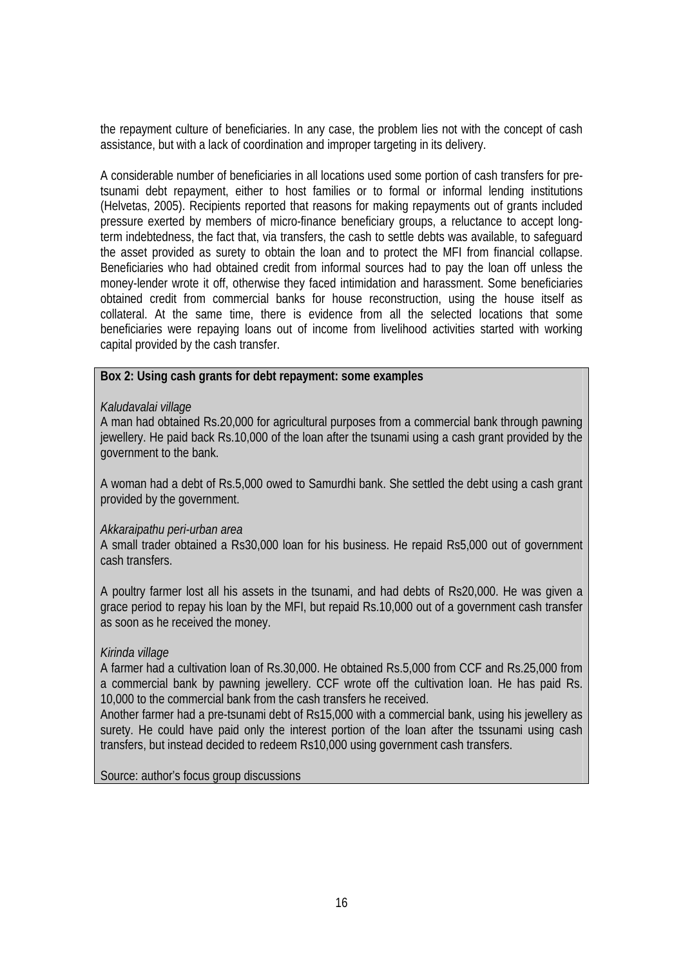the repayment culture of beneficiaries. In any case, the problem lies not with the concept of cash assistance, but with a lack of coordination and improper targeting in its delivery.

A considerable number of beneficiaries in all locations used some portion of cash transfers for pretsunami debt repayment, either to host families or to formal or informal lending institutions (Helvetas, 2005). Recipients reported that reasons for making repayments out of grants included pressure exerted by members of micro-finance beneficiary groups, a reluctance to accept longterm indebtedness, the fact that, via transfers, the cash to settle debts was available, to safeguard the asset provided as surety to obtain the loan and to protect the MFI from financial collapse. Beneficiaries who had obtained credit from informal sources had to pay the loan off unless the money-lender wrote it off, otherwise they faced intimidation and harassment. Some beneficiaries obtained credit from commercial banks for house reconstruction, using the house itself as collateral. At the same time, there is evidence from all the selected locations that some beneficiaries were repaying loans out of income from livelihood activities started with working capital provided by the cash transfer.

#### **Box 2: Using cash grants for debt repayment: some examples**

#### *Kaludavalai village*

A man had obtained Rs.20,000 for agricultural purposes from a commercial bank through pawning jewellery. He paid back Rs.10,000 of the loan after the tsunami using a cash grant provided by the government to the bank.

A woman had a debt of Rs.5,000 owed to Samurdhi bank. She settled the debt using a cash grant provided by the government.

#### *Akkaraipathu peri-urban area*

A small trader obtained a Rs30,000 loan for his business. He repaid Rs5,000 out of government cash transfers.

A poultry farmer lost all his assets in the tsunami, and had debts of Rs20,000. He was given a grace period to repay his loan by the MFI, but repaid Rs.10,000 out of a government cash transfer as soon as he received the money.

#### *Kirinda village*

A farmer had a cultivation loan of Rs.30,000. He obtained Rs.5,000 from CCF and Rs.25,000 from a commercial bank by pawning jewellery. CCF wrote off the cultivation loan. He has paid Rs. 10,000 to the commercial bank from the cash transfers he received.

Another farmer had a pre-tsunami debt of Rs15,000 with a commercial bank, using his jewellery as surety. He could have paid only the interest portion of the loan after the tssunami using cash transfers, but instead decided to redeem Rs10,000 using government cash transfers.

Source: author's focus group discussions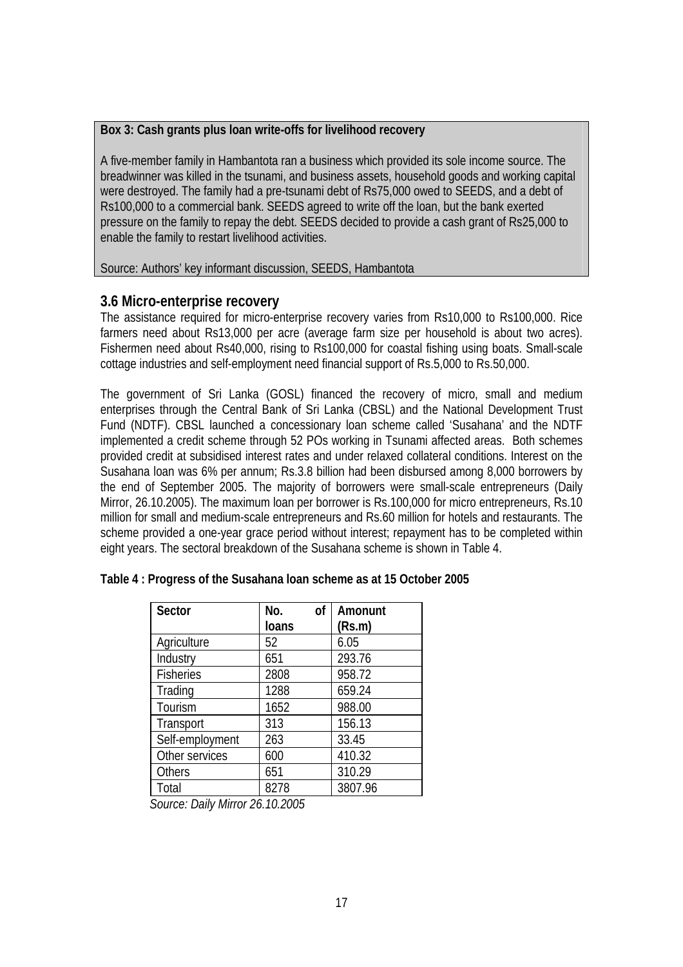#### **Box 3: Cash grants plus loan write-offs for livelihood recovery**

A five-member family in Hambantota ran a business which provided its sole income source. The breadwinner was killed in the tsunami, and business assets, household goods and working capital were destroyed. The family had a pre-tsunami debt of Rs75,000 owed to SEEDS, and a debt of Rs100,000 to a commercial bank. SEEDS agreed to write off the loan, but the bank exerted pressure on the family to repay the debt. SEEDS decided to provide a cash grant of Rs25,000 to enable the family to restart livelihood activities.

#### Source: Authors' key informant discussion, SEEDS, Hambantota

#### **3.6 Micro-enterprise recovery**

The assistance required for micro-enterprise recovery varies from Rs10,000 to Rs100,000. Rice farmers need about Rs13,000 per acre (average farm size per household is about two acres). Fishermen need about Rs40,000, rising to Rs100,000 for coastal fishing using boats. Small-scale cottage industries and self-employment need financial support of Rs.5,000 to Rs.50,000.

The government of Sri Lanka (GOSL) financed the recovery of micro, small and medium enterprises through the Central Bank of Sri Lanka (CBSL) and the National Development Trust Fund (NDTF). CBSL launched a concessionary loan scheme called 'Susahana' and the NDTF implemented a credit scheme through 52 POs working in Tsunami affected areas. Both schemes provided credit at subsidised interest rates and under relaxed collateral conditions. Interest on the Susahana loan was 6% per annum; Rs.3.8 billion had been disbursed among 8,000 borrowers by the end of September 2005. The majority of borrowers were small-scale entrepreneurs (Daily Mirror, 26.10.2005). The maximum loan per borrower is Rs.100,000 for micro entrepreneurs, Rs.10 million for small and medium-scale entrepreneurs and Rs.60 million for hotels and restaurants. The scheme provided a one-year grace period without interest; repayment has to be completed within eight years. The sectoral breakdown of the Susahana scheme is shown in Table 4.

| Sector           | No.<br><sub>of</sub> | Amonunt |
|------------------|----------------------|---------|
|                  | <b>loans</b>         | (Rs.m)  |
| Agriculture      | 52                   | 6.05    |
| Industry         | 651                  | 293.76  |
| <b>Fisheries</b> | 2808                 | 958.72  |
| Trading          | 1288                 | 659.24  |
| Tourism          | 1652                 | 988.00  |
| Transport        | 313                  | 156.13  |
| Self-employment  | 263                  | 33.45   |
| Other services   | 600                  | 410.32  |
| <b>Others</b>    | 651                  | 310.29  |
| Total            | 8278                 | 3807.96 |

|  | Table 4: Progress of the Susahana loan scheme as at 15 October 2005 |
|--|---------------------------------------------------------------------|
|--|---------------------------------------------------------------------|

*Source: Daily Mirror 26.10.2005*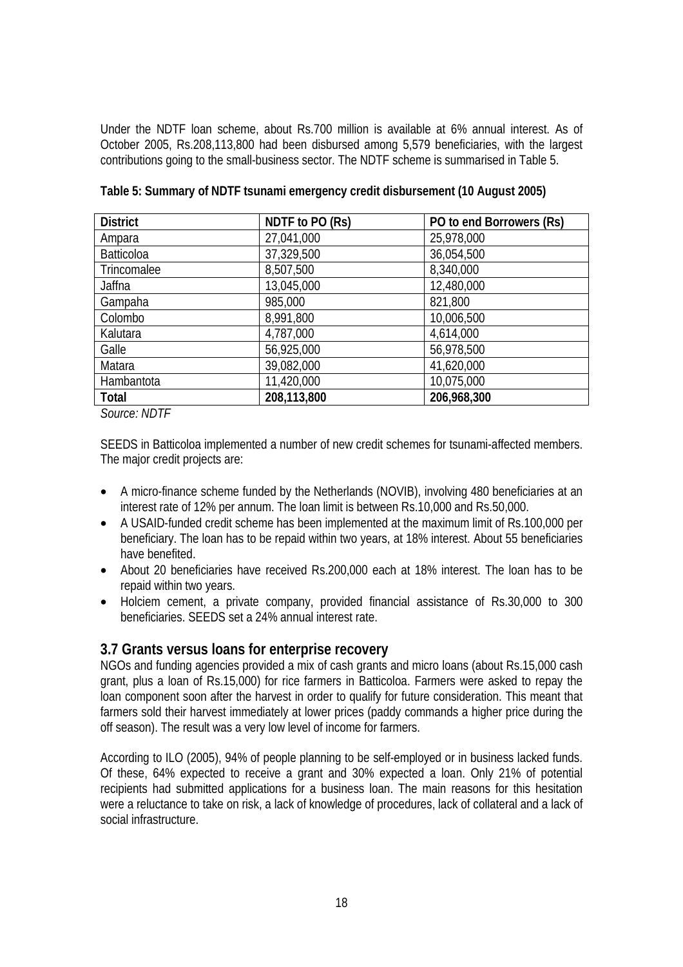Under the NDTF loan scheme, about Rs.700 million is available at 6% annual interest. As of October 2005, Rs.208,113,800 had been disbursed among 5,579 beneficiaries, with the largest contributions going to the small-business sector. The NDTF scheme is summarised in Table 5.

| <b>District</b>   | NDTF to PO (Rs) | PO to end Borrowers (Rs) |
|-------------------|-----------------|--------------------------|
| Ampara            | 27,041,000      | 25,978,000               |
| <b>Batticoloa</b> | 37,329,500      | 36,054,500               |
| Trincomalee       | 8,507,500       | 8,340,000                |
| Jaffna            | 13,045,000      | 12,480,000               |
| Gampaha           | 985,000         | 821,800                  |
| Colombo           | 8,991,800       | 10,006,500               |
| Kalutara          | 4,787,000       | 4,614,000                |
| Galle             | 56,925,000      | 56,978,500               |
| Matara            | 39,082,000      | 41,620,000               |
| Hambantota        | 11,420,000      | 10,075,000               |
| Total             | 208,113,800     | 206,968,300              |

**Table 5: Summary of NDTF tsunami emergency credit disbursement (10 August 2005)** 

*Source: NDTF* 

SEEDS in Batticoloa implemented a number of new credit schemes for tsunami-affected members. The major credit projects are:

- A micro-finance scheme funded by the Netherlands (NOVIB), involving 480 beneficiaries at an interest rate of 12% per annum. The loan limit is between Rs.10,000 and Rs.50,000.
- A USAID-funded credit scheme has been implemented at the maximum limit of Rs.100,000 per beneficiary. The loan has to be repaid within two years, at 18% interest. About 55 beneficiaries have benefited.
- About 20 beneficiaries have received Rs.200,000 each at 18% interest. The loan has to be repaid within two years.
- Holciem cement, a private company, provided financial assistance of Rs.30,000 to 300 beneficiaries. SEEDS set a 24% annual interest rate.

#### **3.7 Grants versus loans for enterprise recovery**

NGOs and funding agencies provided a mix of cash grants and micro loans (about Rs.15,000 cash grant, plus a loan of Rs.15,000) for rice farmers in Batticoloa. Farmers were asked to repay the loan component soon after the harvest in order to qualify for future consideration. This meant that farmers sold their harvest immediately at lower prices (paddy commands a higher price during the off season). The result was a very low level of income for farmers.

According to ILO (2005), 94% of people planning to be self-employed or in business lacked funds. Of these, 64% expected to receive a grant and 30% expected a loan. Only 21% of potential recipients had submitted applications for a business loan. The main reasons for this hesitation were a reluctance to take on risk, a lack of knowledge of procedures, lack of collateral and a lack of social infrastructure.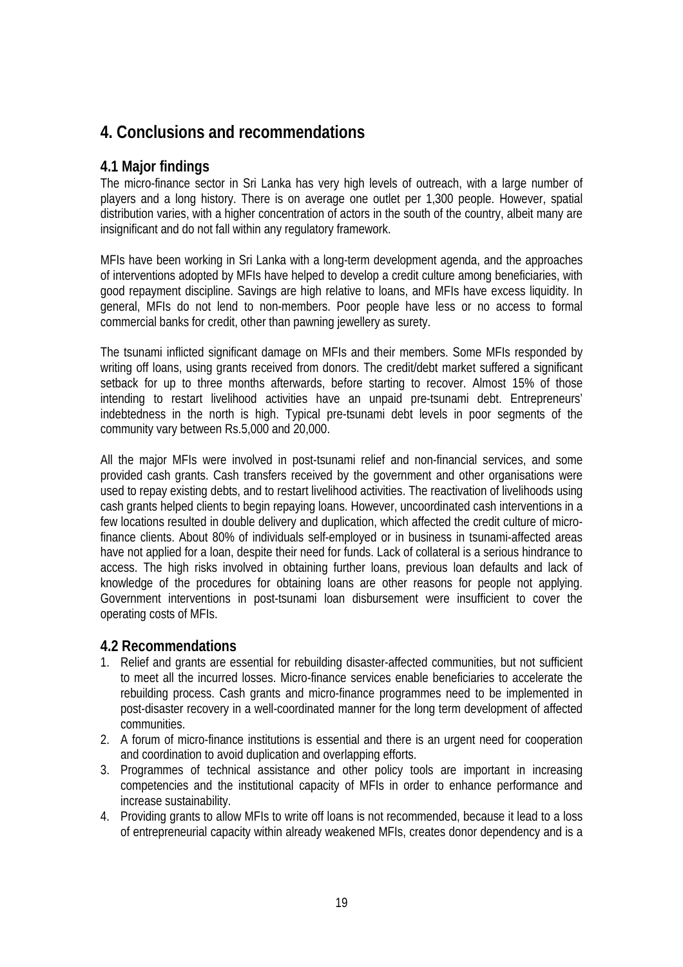## **4. Conclusions and recommendations**

#### **4.1 Major findings**

The micro-finance sector in Sri Lanka has very high levels of outreach, with a large number of players and a long history. There is on average one outlet per 1,300 people. However, spatial distribution varies, with a higher concentration of actors in the south of the country, albeit many are insignificant and do not fall within any regulatory framework.

MFIs have been working in Sri Lanka with a long-term development agenda, and the approaches of interventions adopted by MFIs have helped to develop a credit culture among beneficiaries, with good repayment discipline. Savings are high relative to loans, and MFIs have excess liquidity. In general, MFIs do not lend to non-members. Poor people have less or no access to formal commercial banks for credit, other than pawning jewellery as surety.

The tsunami inflicted significant damage on MFIs and their members. Some MFIs responded by writing off loans, using grants received from donors. The credit/debt market suffered a significant setback for up to three months afterwards, before starting to recover. Almost 15% of those intending to restart livelihood activities have an unpaid pre-tsunami debt. Entrepreneurs' indebtedness in the north is high. Typical pre-tsunami debt levels in poor segments of the community vary between Rs.5,000 and 20,000.

All the major MFIs were involved in post-tsunami relief and non-financial services, and some provided cash grants. Cash transfers received by the government and other organisations were used to repay existing debts, and to restart livelihood activities. The reactivation of livelihoods using cash grants helped clients to begin repaying loans. However, uncoordinated cash interventions in a few locations resulted in double delivery and duplication, which affected the credit culture of microfinance clients. About 80% of individuals self-employed or in business in tsunami-affected areas have not applied for a loan, despite their need for funds. Lack of collateral is a serious hindrance to access. The high risks involved in obtaining further loans, previous loan defaults and lack of knowledge of the procedures for obtaining loans are other reasons for people not applying. Government interventions in post-tsunami loan disbursement were insufficient to cover the operating costs of MFIs.

#### **4.2 Recommendations**

- 1. Relief and grants are essential for rebuilding disaster-affected communities, but not sufficient to meet all the incurred losses. Micro-finance services enable beneficiaries to accelerate the rebuilding process. Cash grants and micro-finance programmes need to be implemented in post-disaster recovery in a well-coordinated manner for the long term development of affected communities.
- 2. A forum of micro-finance institutions is essential and there is an urgent need for cooperation and coordination to avoid duplication and overlapping efforts.
- 3. Programmes of technical assistance and other policy tools are important in increasing competencies and the institutional capacity of MFIs in order to enhance performance and increase sustainability.
- 4. Providing grants to allow MFIs to write off loans is not recommended, because it lead to a loss of entrepreneurial capacity within already weakened MFIs, creates donor dependency and is a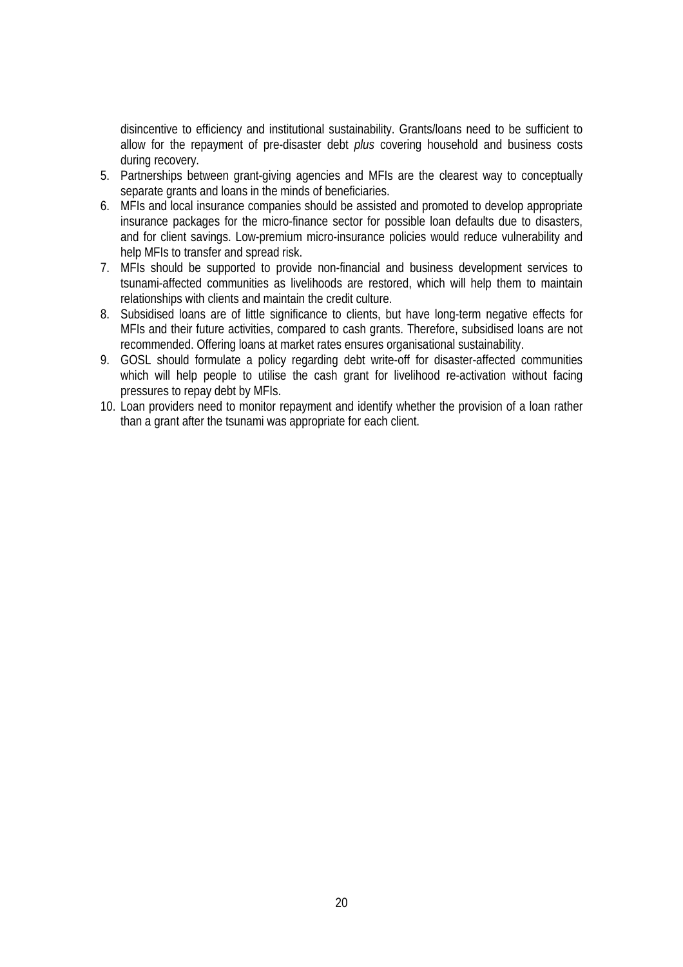disincentive to efficiency and institutional sustainability. Grants/loans need to be sufficient to allow for the repayment of pre-disaster debt *plus* covering household and business costs during recovery.

- 5. Partnerships between grant-giving agencies and MFIs are the clearest way to conceptually separate grants and loans in the minds of beneficiaries.
- 6. MFIs and local insurance companies should be assisted and promoted to develop appropriate insurance packages for the micro-finance sector for possible loan defaults due to disasters, and for client savings. Low-premium micro-insurance policies would reduce vulnerability and help MFIs to transfer and spread risk.
- 7. MFIs should be supported to provide non-financial and business development services to tsunami-affected communities as livelihoods are restored, which will help them to maintain relationships with clients and maintain the credit culture.
- 8. Subsidised loans are of little significance to clients, but have long-term negative effects for MFIs and their future activities, compared to cash grants. Therefore, subsidised loans are not recommended. Offering loans at market rates ensures organisational sustainability.
- 9. GOSL should formulate a policy regarding debt write-off for disaster-affected communities which will help people to utilise the cash grant for livelihood re-activation without facing pressures to repay debt by MFIs.
- 10. Loan providers need to monitor repayment and identify whether the provision of a loan rather than a grant after the tsunami was appropriate for each client.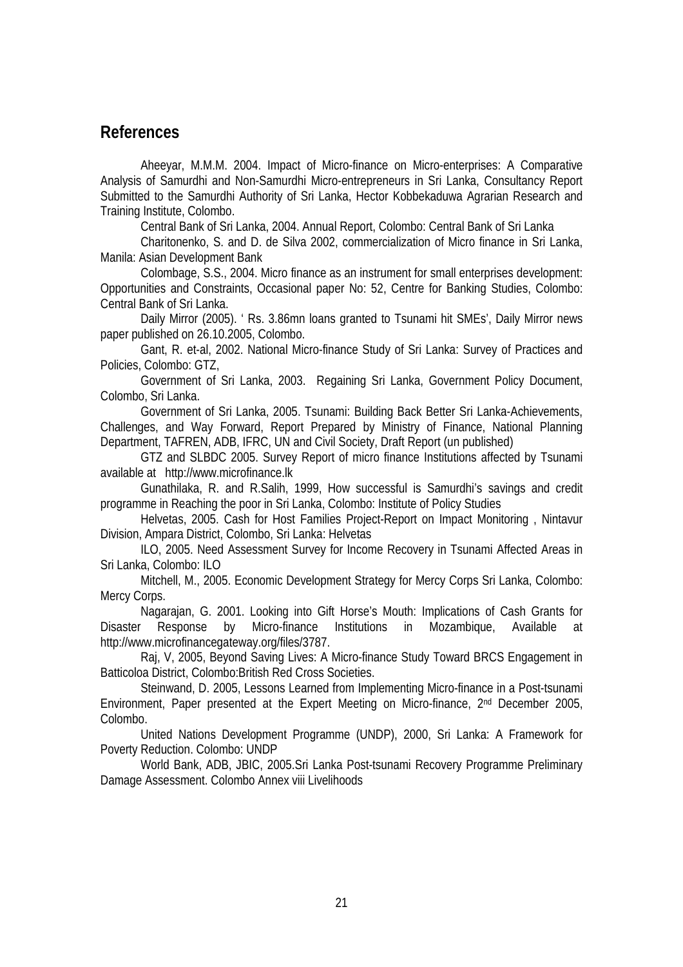#### **References**

Aheeyar, M.M.M. 2004. Impact of Micro-finance on Micro-enterprises: A Comparative Analysis of Samurdhi and Non-Samurdhi Micro-entrepreneurs in Sri Lanka, Consultancy Report Submitted to the Samurdhi Authority of Sri Lanka, Hector Kobbekaduwa Agrarian Research and Training Institute, Colombo.

Central Bank of Sri Lanka, 2004. Annual Report, Colombo: Central Bank of Sri Lanka

Charitonenko, S. and D. de Silva 2002, commercialization of Micro finance in Sri Lanka, Manila: Asian Development Bank

Colombage, S.S., 2004. Micro finance as an instrument for small enterprises development: Opportunities and Constraints, Occasional paper No: 52, Centre for Banking Studies, Colombo: Central Bank of Sri Lanka.

 Daily Mirror (2005). ' Rs. 3.86mn loans granted to Tsunami hit SMEs', Daily Mirror news paper published on 26.10.2005, Colombo.

Gant, R. et-al, 2002. National Micro-finance Study of Sri Lanka: Survey of Practices and Policies, Colombo: GTZ,

Government of Sri Lanka, 2003. Regaining Sri Lanka, Government Policy Document, Colombo, Sri Lanka.

 Government of Sri Lanka, 2005. Tsunami: Building Back Better Sri Lanka-Achievements, Challenges, and Way Forward, Report Prepared by Ministry of Finance, National Planning Department, TAFREN, ADB, IFRC, UN and Civil Society, Draft Report (un published)

GTZ and SLBDC 2005. Survey Report of micro finance Institutions affected by Tsunami available at http://www.microfinance.lk

Gunathilaka, R. and R.Salih, 1999, How successful is Samurdhi's savings and credit programme in Reaching the poor in Sri Lanka, Colombo: Institute of Policy Studies

Helvetas, 2005. Cash for Host Families Project-Report on Impact Monitoring , Nintavur Division, Ampara District, Colombo, Sri Lanka: Helvetas

ILO, 2005. Need Assessment Survey for Income Recovery in Tsunami Affected Areas in Sri Lanka, Colombo: ILO

Mitchell, M., 2005. Economic Development Strategy for Mercy Corps Sri Lanka, Colombo: Mercy Corps.

Nagarajan, G. 2001. Looking into Gift Horse's Mouth: Implications of Cash Grants for Disaster Response by Micro-finance Institutions in Mozambique, Available at http://www.microfinancegateway.org/files/3787.

Raj, V, 2005, Beyond Saving Lives: A Micro-finance Study Toward BRCS Engagement in Batticoloa District, Colombo:British Red Cross Societies.

Steinwand, D. 2005, Lessons Learned from Implementing Micro-finance in a Post-tsunami Environment, Paper presented at the Expert Meeting on Micro-finance, 2nd December 2005, Colombo.

United Nations Development Programme (UNDP), 2000, Sri Lanka: A Framework for Poverty Reduction. Colombo: UNDP

World Bank, ADB, JBIC, 2005.Sri Lanka Post-tsunami Recovery Programme Preliminary Damage Assessment. Colombo Annex viii Livelihoods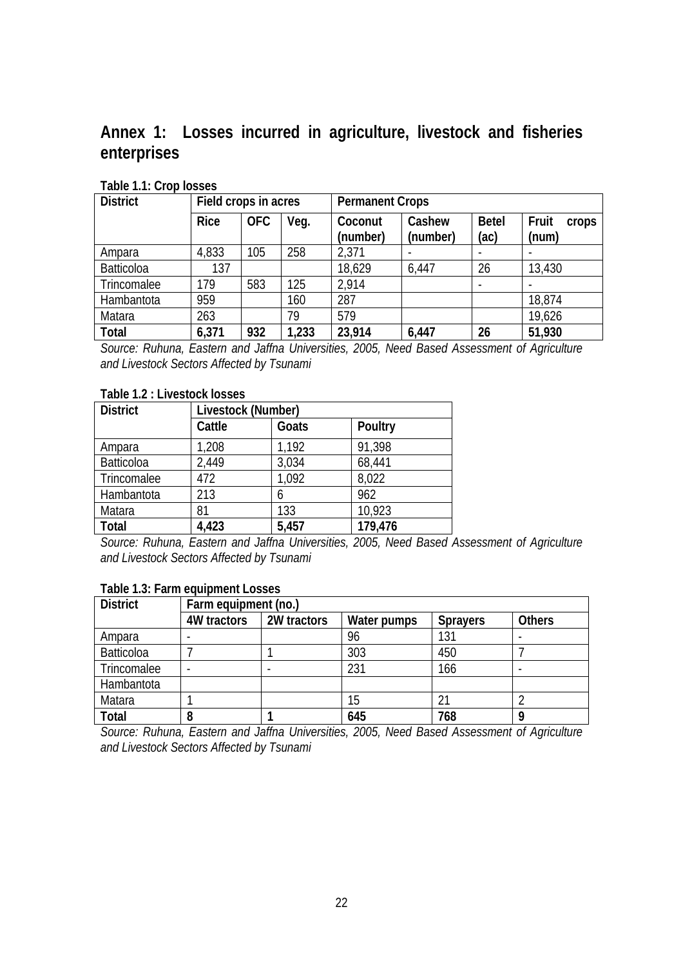**Annex 1: Losses incurred in agriculture, livestock and fisheries enterprises** 

| <b>District</b> | Field crops in acres |            | <b>Permanent Crops</b> |                     |                    |                      |                         |
|-----------------|----------------------|------------|------------------------|---------------------|--------------------|----------------------|-------------------------|
|                 | <b>Rice</b>          | <b>OFC</b> | Veg.                   | Coconut<br>(number) | Cashew<br>(number) | <b>Betel</b><br>(ac) | Fruit<br>crops<br>(num) |
| Ampara          | 4,833                | 105        | 258                    | 2,371               |                    |                      |                         |
| Batticoloa      | 137                  |            |                        | 18,629              | 6,447              | 26                   | 13,430                  |
| Trincomalee     | 179                  | 583        | 125                    | 2,914               |                    |                      |                         |
| Hambantota      | 959                  |            | 160                    | 287                 |                    |                      | 18,874                  |
| Matara          | 263                  |            | 79                     | 579                 |                    |                      | 19,626                  |
| Total           | 6,371                | 932        | 1,233                  | 23,914              | 6,447              | 26                   | 51,930                  |

**Table 1.1: Crop losses** 

*Source: Ruhuna, Eastern and Jaffna Universities, 2005, Need Based Assessment of Agriculture and Livestock Sectors Affected by Tsunami* 

#### **Table 1.2 : Livestock losses**

| <b>District</b> | Livestock (Number) |       |         |  |  |
|-----------------|--------------------|-------|---------|--|--|
|                 | Cattle             | Goats | Poultry |  |  |
| Ampara          | 1,208              | 1,192 | 91,398  |  |  |
| Batticoloa      | 2,449              | 3,034 | 68,441  |  |  |
| Trincomalee     | 472                | 1,092 | 8,022   |  |  |
| Hambantota      | 213                | h     | 962     |  |  |
| Matara          | 81                 | 133   | 10,923  |  |  |
| Total           | 4,423              | 5,457 | 179,476 |  |  |

*Source: Ruhuna, Eastern and Jaffna Universities, 2005, Need Based Assessment of Agriculture and Livestock Sectors Affected by Tsunami* 

#### **Table 1.3: Farm equipment Losses**

| <b>District</b>   | Farm equipment (no.) |             |             |                 |               |  |  |
|-------------------|----------------------|-------------|-------------|-----------------|---------------|--|--|
|                   | 4W tractors          | 2W tractors | Water pumps | <b>Sprayers</b> | <b>Others</b> |  |  |
| Ampara            |                      |             | 96          | 131             |               |  |  |
| <b>Batticoloa</b> |                      |             | 303         | 450             |               |  |  |
| Trincomalee       |                      |             | 231         | 166             |               |  |  |
| Hambantota        |                      |             |             |                 |               |  |  |
| Matara            |                      |             | 15          | $2^{\cdot}$     |               |  |  |
| <b>Total</b>      | 8                    |             | 645         | 768             | Ο             |  |  |

*Source: Ruhuna, Eastern and Jaffna Universities, 2005, Need Based Assessment of Agriculture and Livestock Sectors Affected by Tsunami*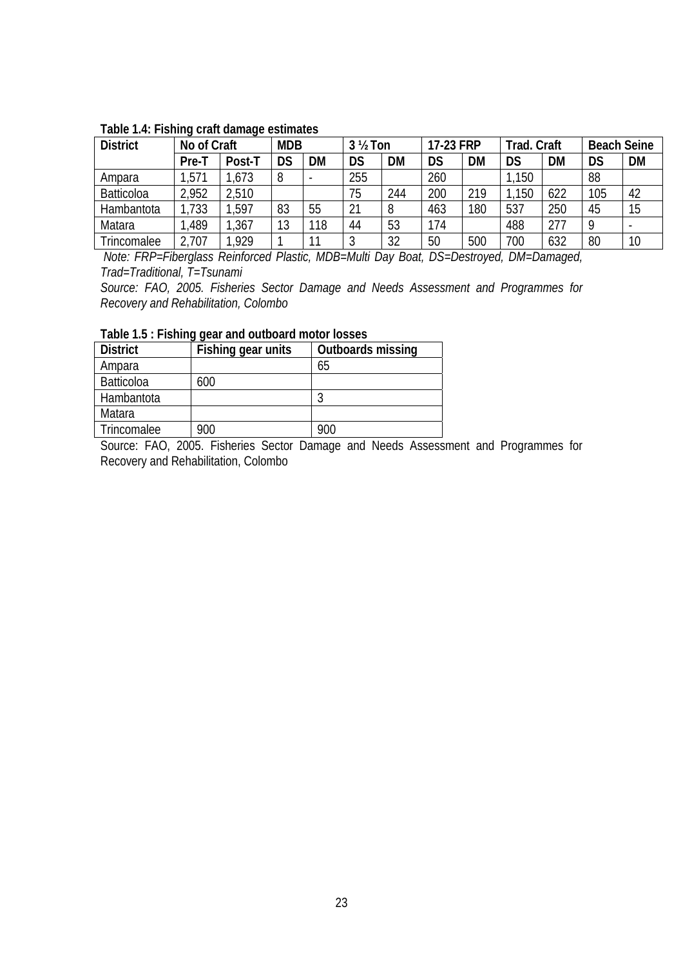| <b>District</b>   | No of Craft |        | <b>MDB</b> |     | $3\frac{1}{2}$ Ton |     | 17-23 FRP |           | Trad. Craft |     | <b>Beach Seine</b> |    |
|-------------------|-------------|--------|------------|-----|--------------------|-----|-----------|-----------|-------------|-----|--------------------|----|
|                   | Pre-T       | Post-T | DS         | DM  | DS                 | DM  | <b>DS</b> | <b>DM</b> | DS          | DM  | DS                 | DM |
| Ampara            | ,571        | ,673   | 8          |     | 255                |     | 260       |           | 150         |     | 88                 |    |
| <b>Batticoloa</b> | 2,952       | 2,510  |            |     | 75                 | 244 | 200       | 219       | 150         | 622 | 105                | 42 |
| Hambantota        | ,733        | ,597   | 83         | 55  | 21                 |     | 463       | 180       | 537         | 250 | 45                 | 15 |
| Matara            | ,489        | ,367   | 13         | 118 | 44                 | 53  | 174       |           | 488         | 277 |                    |    |
| Trincomalee       | ,707        | ,929   |            | 11  |                    | 32  | 50        | 500       | 700         | 632 | 80                 | 10 |

#### **Table 1.4: Fishing craft damage estimates**

 *Note: FRP=Fiberglass Reinforced Plastic, MDB=Multi Day Boat, DS=Destroyed, DM=Damaged, Trad=Traditional, T=Tsunami* 

*Source: FAO, 2005. Fisheries Sector Damage and Needs Assessment and Programmes for Recovery and Rehabilitation, Colombo* 

| <b>District</b> | Fishing gear units | Outboards missing |  |  |  |  |  |
|-----------------|--------------------|-------------------|--|--|--|--|--|
| Ampara          |                    | 65                |  |  |  |  |  |
| Batticoloa      | 600                |                   |  |  |  |  |  |
| Hambantota      |                    |                   |  |  |  |  |  |
| Matara          |                    |                   |  |  |  |  |  |
| Trincomalee     | 900                | 900               |  |  |  |  |  |

Source: FAO, 2005. Fisheries Sector Damage and Needs Assessment and Programmes for Recovery and Rehabilitation, Colombo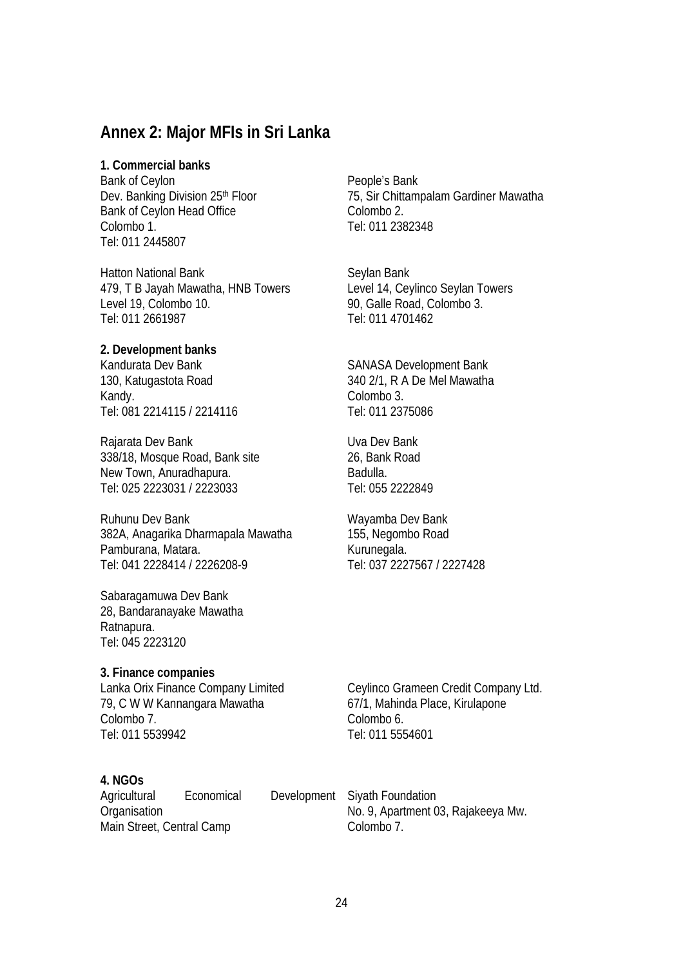### **Annex 2: Major MFIs in Sri Lanka**

#### **1. Commercial banks**

Bank of Ceylon Dev. Banking Division 25<sup>th</sup> Floor Bank of Ceylon Head Office Colombo 1. Tel: 011 2445807

Hatton National Bank 479, T B Jayah Mawatha, HNB Towers Level 19, Colombo 10. Tel: 011 2661987

#### **2. Development banks**

Kandurata Dev Bank 130, Katugastota Road Kandy. Tel: 081 2214115 / 2214116

Rajarata Dev Bank 338/18, Mosque Road, Bank site New Town, Anuradhapura. Tel: 025 2223031 / 2223033

Ruhunu Dev Bank 382A, Anagarika Dharmapala Mawatha Pamburana, Matara. Tel: 041 2228414 / 2226208-9

Sabaragamuwa Dev Bank 28, Bandaranayake Mawatha Ratnapura. Tel: 045 2223120

#### **3. Finance companies**

Lanka Orix Finance Company Limited 79, C W W Kannangara Mawatha Colombo 7. Tel: 011 5539942

#### **4. NGOs**

Agricultural Economical Development **Organisation** Main Street, Central Camp

People's Bank 75, Sir Chittampalam Gardiner Mawatha Colombo 2. Tel: 011 2382348

Seylan Bank Level 14, Ceylinco Seylan Towers 90, Galle Road, Colombo 3. Tel: 011 4701462

SANASA Development Bank 340 2/1, R A De Mel Mawatha Colombo 3. Tel: 011 2375086

Uva Dev Bank 26, Bank Road Badulla. Tel: 055 2222849

Wayamba Dev Bank 155, Negombo Road Kurunegala. Tel: 037 2227567 / 2227428

Ceylinco Grameen Credit Company Ltd. 67/1, Mahinda Place, Kirulapone Colombo 6. Tel: 011 5554601

Siyath Foundation No. 9, Apartment 03, Rajakeeya Mw. Colombo 7.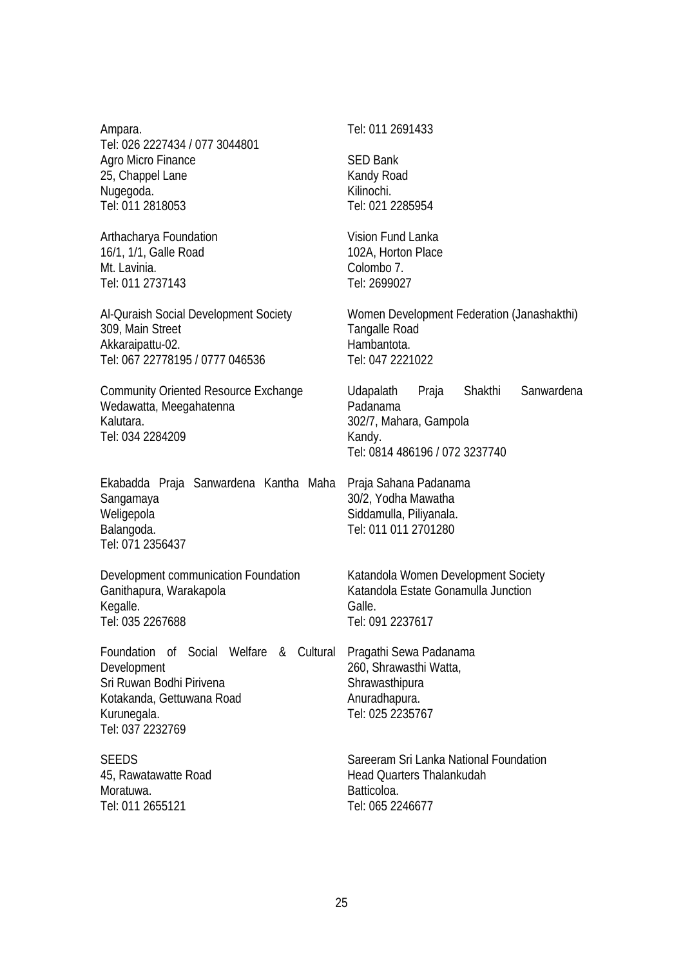Ampara. Tel: 026 2227434 / 077 3044801 Agro Micro Finance 25, Chappel Lane Nugegoda. Tel: 011 2818053

Arthacharya Foundation 16/1, 1/1, Galle Road Mt. Lavinia. Tel: 011 2737143

Al-Quraish Social Development Society 309, Main Street Akkaraipattu-02. Tel: 067 22778195 / 0777 046536

Community Oriented Resource Exchange Wedawatta, Meegahatenna Kalutara. Tel: 034 2284209

Ekabadda Praja Sanwardena Kantha Maha Sangamaya Weligepola Balangoda. Tel: 071 2356437

Development communication Foundation Ganithapura, Warakapola Kegalle. Tel: 035 2267688

Foundation of Social Welfare & Cultural Pragathi Sewa Padanama Development Sri Ruwan Bodhi Pirivena Kotakanda, Gettuwana Road Kurunegala. Tel: 037 2232769

**SEEDS** 45, Rawatawatte Road Moratuwa. Tel: 011 2655121

#### Tel: 011 2691433

SED Bank Kandy Road Kilinochi. Tel: 021 2285954

Vision Fund Lanka 102A, Horton Place Colombo 7. Tel: 2699027

Women Development Federation (Janashakthi) Tangalle Road Hambantota. Tel: 047 2221022

Udapalath Praja Shakthi Sanwardena Padanama 302/7, Mahara, Gampola Kandy. Tel: 0814 486196 / 072 3237740

Praja Sahana Padanama 30/2, Yodha Mawatha Siddamulla, Piliyanala. Tel: 011 011 2701280

Katandola Women Development Society Katandola Estate Gonamulla Junction Galle. Tel: 091 2237617

260, Shrawasthi Watta, **Shrawasthipura** Anuradhapura. Tel: 025 2235767

Sareeram Sri Lanka National Foundation Head Quarters Thalankudah Batticoloa. Tel: 065 2246677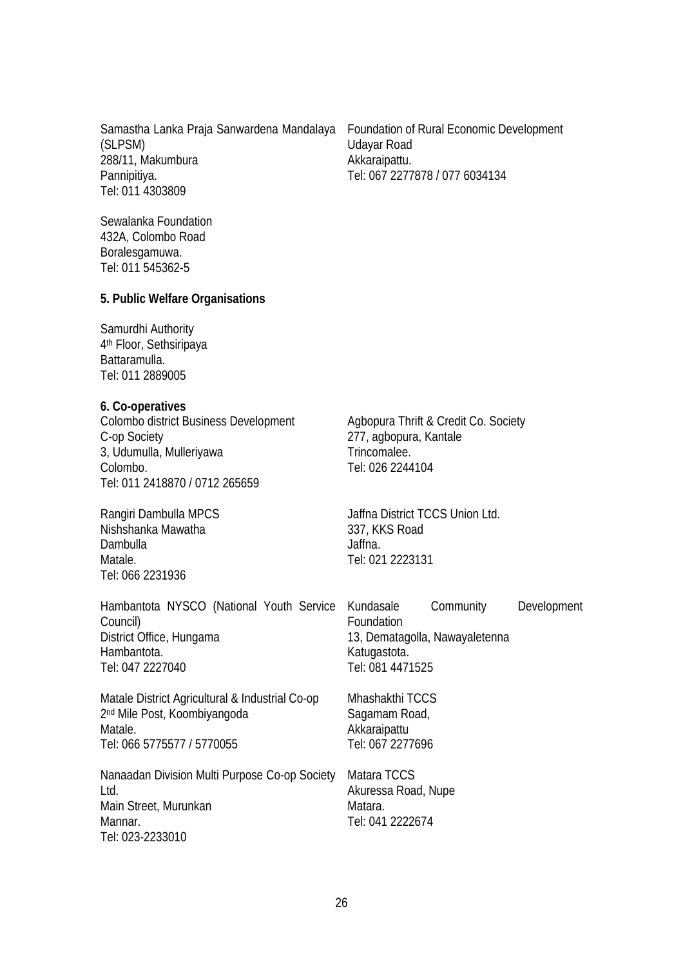Samastha Lanka Praja Sanwardena Mandalaya Foundation of Rural Economic Development (SLPSM) 288/11, Makumbura Pannipitiya. Tel: 011 4303809

Udayar Road Akkaraipattu. Tel: 067 2277878 / 077 6034134

Sewalanka Foundation 432A, Colombo Road Boralesgamuwa. Tel: 011 545362-5

#### **5. Public Welfare Organisations**

Samurdhi Authority 4th Floor, Sethsiripaya Battaramulla. Tel: 011 2889005

#### **6. Co-operatives**

Colombo district Business Development C-op Society 3, Udumulla, Mulleriyawa Colombo. Tel: 011 2418870 / 0712 265659

Rangiri Dambulla MPCS Nishshanka Mawatha Dambulla Matale. Tel: 066 2231936

Mannar.

Tel: 023-2233010

Agbopura Thrift & Credit Co. Society 277, agbopura, Kantale Trincomalee. Tel: 026 2244104

Jaffna District TCCS Union Ltd. 337, KKS Road Jaffna. Tel: 021 2223131

| Hambantota NYSCO (National Youth Service<br>Council)                                                                                 | Community<br>Kundasale<br>Foundation                                 | Development |  |  |
|--------------------------------------------------------------------------------------------------------------------------------------|----------------------------------------------------------------------|-------------|--|--|
| District Office, Hungama                                                                                                             | 13, Dematagolla, Nawayaletenna                                       |             |  |  |
| Hambantota.<br>Tel: 047 2227040                                                                                                      | Katugastota.<br>Tel: 081 4471525                                     |             |  |  |
| Matale District Agricultural & Industrial Co-op<br>2 <sup>nd</sup> Mile Post, Koombiyangoda<br>Matale.<br>Tel: 066 5775577 / 5770055 | Mhashakthi TCCS<br>Sagamam Road,<br>Akkaraipattu<br>Tel: 067 2277696 |             |  |  |
| Nanaadan Division Multi Purpose Co-op Society<br>Ltd.<br>Main Street, Murunkan                                                       | Matara TCCS<br>Akuressa Road, Nupe<br>Matara.                        |             |  |  |

Tel: 041 2222674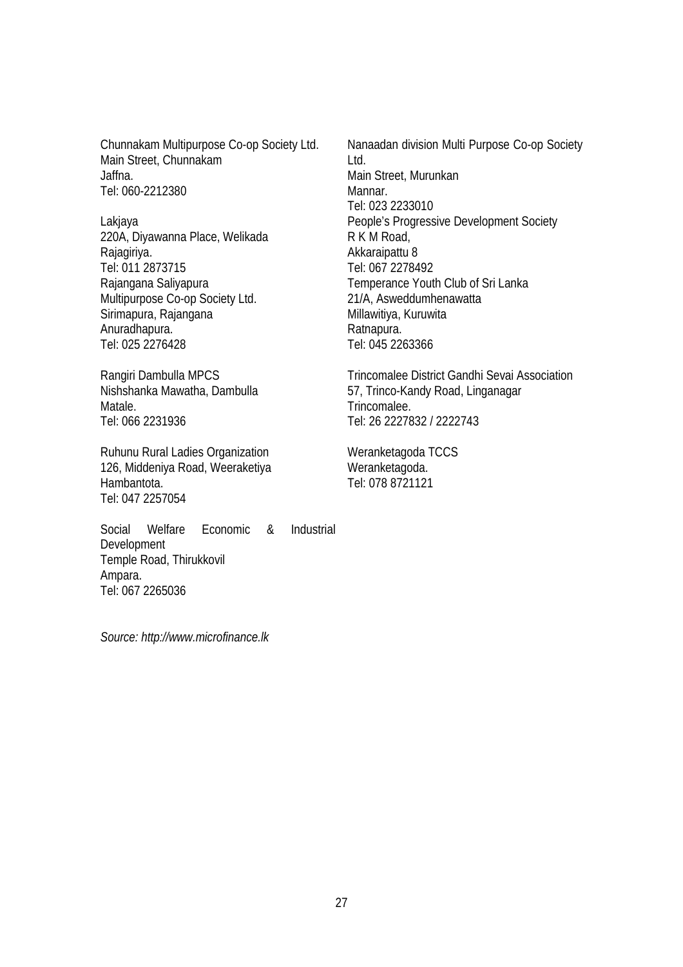Chunnakam Multipurpose Co-op Society Ltd. Main Street, Chunnakam Jaffna. Tel: 060-2212380

Lakjaya 220A, Diyawanna Place, Welikada Rajagiriya. Tel: 011 2873715 Rajangana Saliyapura Multipurpose Co-op Society Ltd. Sirimapura, Rajangana Anuradhapura. Tel: 025 2276428

Rangiri Dambulla MPCS Nishshanka Mawatha, Dambulla Matale. Tel: 066 2231936

Ruhunu Rural Ladies Organization 126, Middeniya Road, Weeraketiya Hambantota. Tel: 047 2257054

Social Welfare Economic & Industrial Development Temple Road, Thirukkovil Ampara. Tel: 067 2265036

Nanaadan division Multi Purpose Co-op Society Ltd. Main Street, Murunkan Mannar. Tel: 023 2233010 People's Progressive Development Society R K M Road, Akkaraipattu 8 Tel: 067 2278492 Temperance Youth Club of Sri Lanka 21/A, Asweddumhenawatta Millawitiya, Kuruwita Ratnapura. Tel: 045 2263366

Trincomalee District Gandhi Sevai Association 57, Trinco-Kandy Road, Linganagar Trincomalee. Tel: 26 2227832 / 2222743

Weranketagoda TCCS Weranketagoda. Tel: 078 8721121

*Source: http://www.microfinance.lk*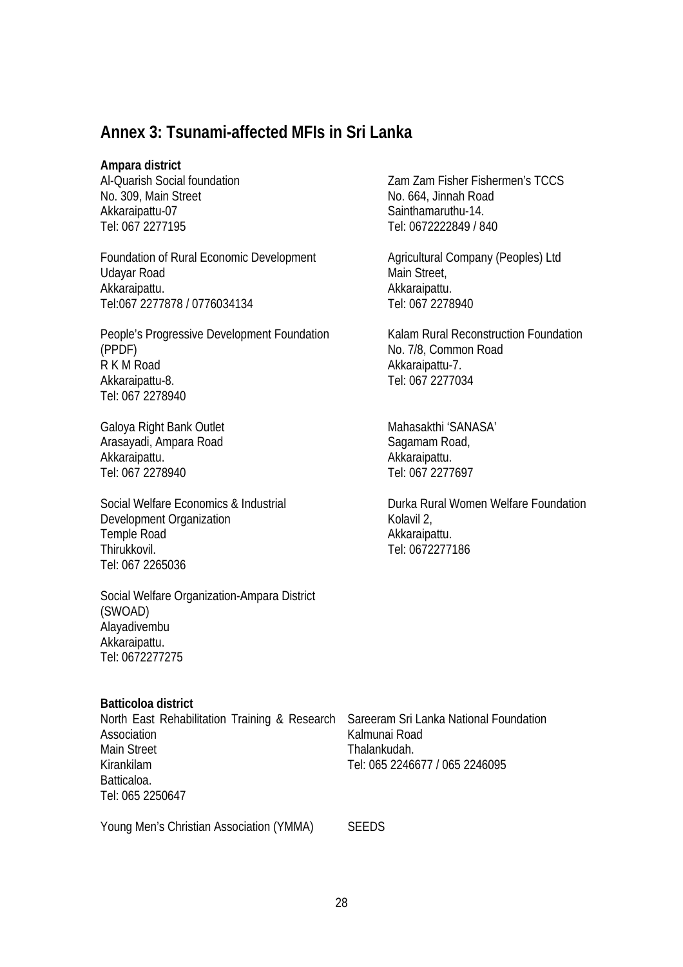## **Annex 3: Tsunami-affected MFIs in Sri Lanka**

#### **Ampara district**

Al-Quarish Social foundation No. 309, Main Street Akkaraipattu-07 Tel: 067 2277195

Foundation of Rural Economic Development Udayar Road Akkaraipattu. Tel:067 2277878 / 0776034134

People's Progressive Development Foundation (PPDF) R K M Road Akkaraipattu-8. Tel: 067 2278940

Galoya Right Bank Outlet Arasayadi, Ampara Road Akkaraipattu. Tel: 067 2278940

Social Welfare Economics & Industrial Development Organization Temple Road Thirukkovil. Tel: 067 2265036

Social Welfare Organization-Ampara District (SWOAD) Alayadivembu Akkaraipattu. Tel: 0672277275

**Batticoloa district** 

| North East Rehabilitation Training & Research |  | $\ddot{\cdot}$ |
|-----------------------------------------------|--|----------------|
| Association                                   |  |                |
| Main Street                                   |  |                |
| Kirankilam                                    |  |                |
| Batticaloa.                                   |  |                |
| Tel: 065 2250647                              |  |                |
|                                               |  |                |

Young Men's Christian Association (YMMA) SEEDS

Zam Zam Fisher Fishermen's TCCS No. 664, Jinnah Road Sainthamaruthu-14. Tel: 0672222849 / 840

Agricultural Company (Peoples) Ltd Main Street, Akkaraipattu. Tel: 067 2278940

Kalam Rural Reconstruction Foundation No. 7/8, Common Road Akkaraipattu-7. Tel: 067 2277034

Mahasakthi 'SANASA' Sagamam Road, Akkaraipattu. Tel: 067 2277697

Durka Rural Women Welfare Foundation Kolavil 2, Akkaraipattu. Tel: 0672277186

Sareeram Sri Lanka National Foundation Kalmunai Road Thalankudah. Tel: 065 2246677 / 065 2246095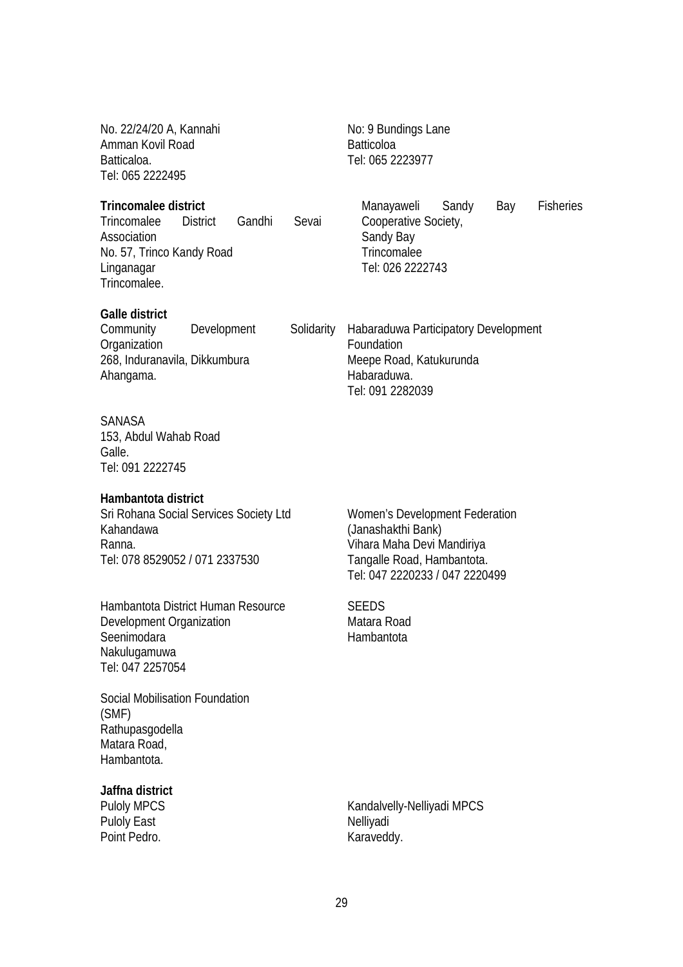| No. 22/24/20 A, Kannahi<br>Amman Kovil Road<br>Batticaloa.<br>Tel: 065 2222495                                                               |             |  |            | No: 9 Bundings Lane<br><b>Batticoloa</b><br>Tel: 065 2223977                                                           |  |  |  |  |  |
|----------------------------------------------------------------------------------------------------------------------------------------------|-------------|--|------------|------------------------------------------------------------------------------------------------------------------------|--|--|--|--|--|
| Trincomalee district<br>Trincomalee<br>Gandhi<br>Sevai<br>District<br>Association<br>No. 57, Trinco Kandy Road<br>Linganagar<br>Trincomalee. |             |  |            | <b>Fisheries</b><br>Manayaweli<br>Sandy<br>Bay<br>Cooperative Society,<br>Sandy Bay<br>Trincomalee<br>Tel: 026 2222743 |  |  |  |  |  |
| <b>Galle district</b><br>Community<br>Organization<br>268, Induranavila, Dikkumbura<br>Ahangama.                                             | Development |  | Solidarity | Habaraduwa Participatory Development<br>Foundation<br>Meepe Road, Katukurunda<br>Habaraduwa.<br>Tel: 091 2282039       |  |  |  |  |  |
| SANASA<br>153, Abdul Wahab Road                                                                                                              |             |  |            |                                                                                                                        |  |  |  |  |  |

Galle. Tel: 091 2222745

#### **Hambantota district**

Sri Rohana Social Services Society Ltd Kahandawa Ranna. Tel: 078 8529052 / 071 2337530

Hambantota District Human Resource Development Organization Seenimodara Nakulugamuwa Tel: 047 2257054

Social Mobilisation Foundation (SMF) Rathupasgodella Matara Road, Hambantota.

**Jaffna district** 

Puloly MPCS Puloly East Point Pedro.

Women's Development Federation (Janashakthi Bank) Vihara Maha Devi Mandiriya Tangalle Road, Hambantota. Tel: 047 2220233 / 047 2220499

**SEEDS** Matara Road Hambantota

Kandalvelly-Nelliyadi MPCS Nelliyadi Karaveddy.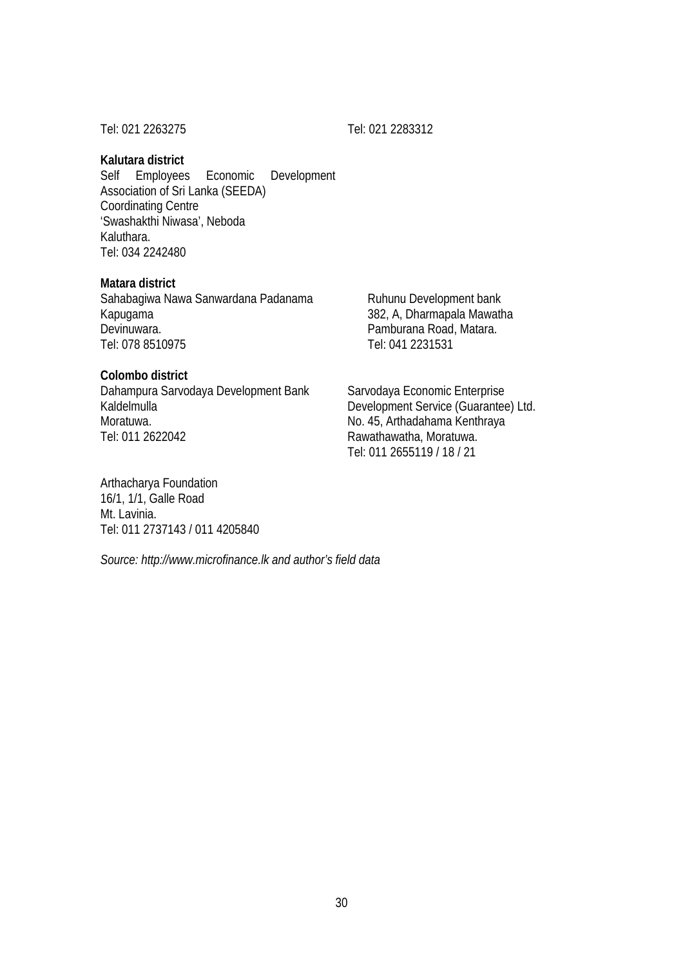Tel: 021 2263275 Tel: 021 2283312

#### **Kalutara district**

Self Employees Economic Development Association of Sri Lanka (SEEDA) Coordinating Centre 'Swashakthi Niwasa', Neboda Kaluthara. Tel: 034 2242480

#### **Matara district**

Sahabagiwa Nawa Sanwardana Padanama Kapugama Devinuwara. Tel: 078 8510975

#### **Colombo district**

Dahampura Sarvodaya Development Bank Kaldelmulla Moratuwa. Tel: 011 2622042

Ruhunu Development bank 382, A, Dharmapala Mawatha Pamburana Road, Matara. Tel: 041 2231531

Sarvodaya Economic Enterprise Development Service (Guarantee) Ltd. No. 45, Arthadahama Kenthraya Rawathawatha, Moratuwa. Tel: 011 2655119 / 18 / 21

Arthacharya Foundation 16/1, 1/1, Galle Road Mt. Lavinia. Tel: 011 2737143 / 011 4205840

*Source: http://www.microfinance.lk and author's field data*